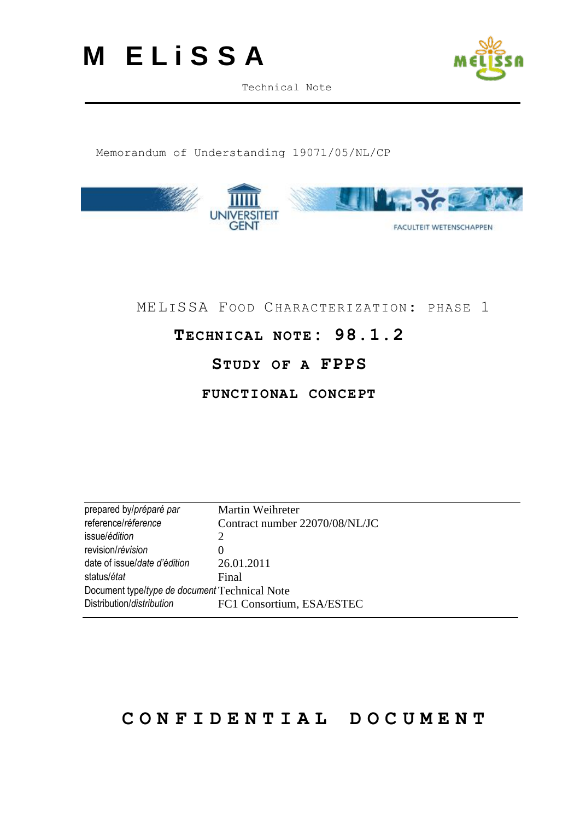



Memorandum of Understanding 19071/05/NL/CP



## MELISSA FOOD CHARACTERIZATION: PHASE 1

# **TECHNICAL NOTE: 98.1.2**

## **STUDY OF A FPPS**

**FUNCTIONAL CONCEPT**

| prepared by/préparé par                       | Martin Weihreter               |
|-----------------------------------------------|--------------------------------|
| reference/réference                           | Contract number 22070/08/NL/JC |
| issue/édition                                 |                                |
| revision/révision                             |                                |
| date of issue/date d'édition                  | 26.01.2011                     |
| status/état                                   | Final                          |
| Document type/type de document Technical Note |                                |
| Distribution/distribution                     | FC1 Consortium, ESA/ESTEC      |

# **CONFIDENTIAL DOCUMEN T**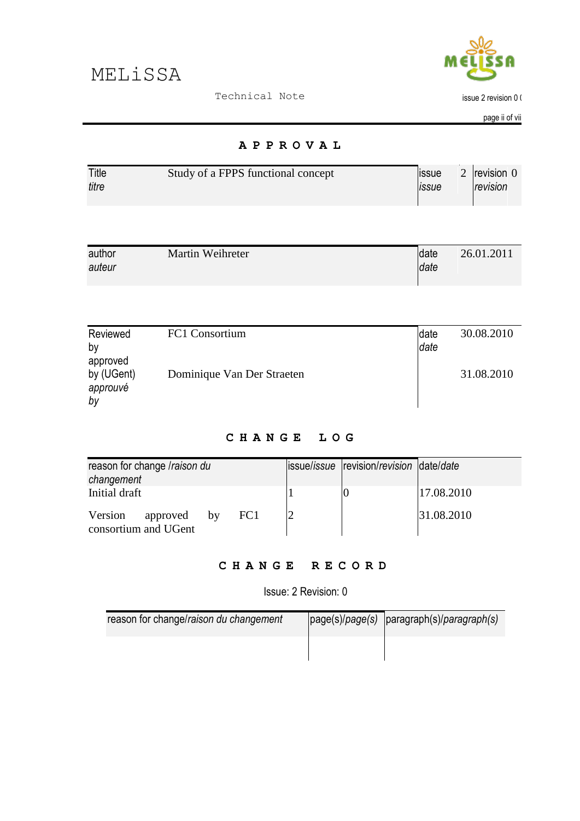

issue 2 revision 0 (

page ii of vii

#### **APPROVAL**

| Title<br>titre | Study of a FPPS functional concept | <b>I</b> ssue<br><b>ISSUE</b> | revision $0$<br>revision |
|----------------|------------------------------------|-------------------------------|--------------------------|
|                |                                    |                               |                          |

| author | Martin Weihreter | Idate | 26.01.2011 |
|--------|------------------|-------|------------|
| auteur |                  | date  |            |
|        |                  |       |            |

| Reviewed<br>by                           | FC1 Consortium             | <b>date</b><br>date | 30.08.2010 |
|------------------------------------------|----------------------------|---------------------|------------|
| approved<br>by (UGent)<br>approuvé<br>by | Dominique Van Der Straeten |                     | 31.08.2010 |

### **CHANGE LOG**

| reason for change /raison du<br>changement            | issue/issue revision/revision date/date |            |
|-------------------------------------------------------|-----------------------------------------|------------|
| Initial draft                                         |                                         | 17.08.2010 |
| Version<br>approved by<br>FC1<br>consortium and UGent |                                         | 31.08.2010 |

#### **CHANGE RECORD**

Issue: 2 Revision: 0

| reason for change/raison du changement | $\vert$ page(s)/page(s) $\vert$ paragraph(s)/paragraph(s) |
|----------------------------------------|-----------------------------------------------------------|
|                                        |                                                           |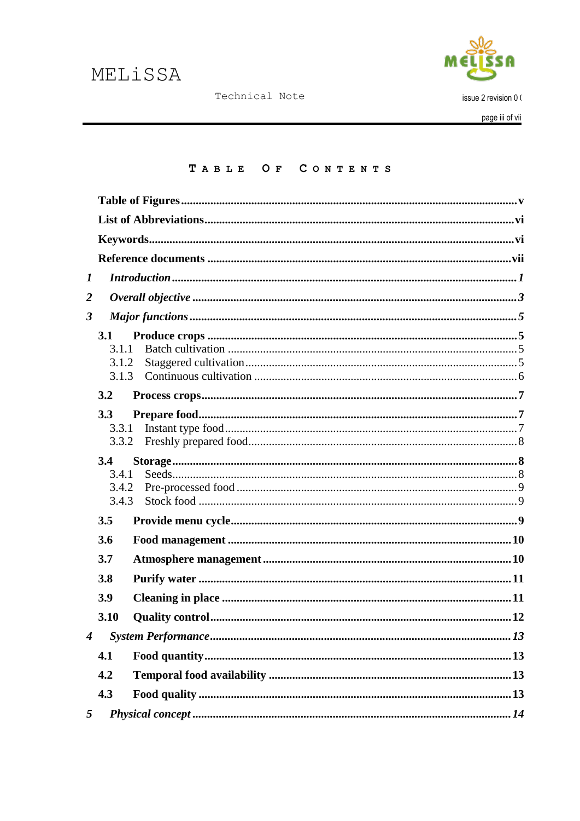

issue 2 revision 0 (

page iii of vii

#### TABLE OF CONTENTS

| 1                           |       |  |
|-----------------------------|-------|--|
| 2                           |       |  |
| 3                           |       |  |
|                             | 3.1   |  |
|                             | 3.1.1 |  |
|                             | 3.1.2 |  |
|                             | 3.1.3 |  |
|                             | 3.2   |  |
|                             | 3.3   |  |
|                             | 3.3.1 |  |
|                             | 3.3.2 |  |
|                             | 3.4   |  |
|                             | 3.4.1 |  |
|                             | 3.4.2 |  |
|                             | 3.4.3 |  |
|                             | 3.5   |  |
|                             | 3.6   |  |
|                             | 3.7   |  |
|                             | 3.8   |  |
|                             | 3.9   |  |
|                             | 3.10  |  |
| $\overline{\boldsymbol{4}}$ |       |  |
|                             | 4.1   |  |
|                             | 4.2   |  |
|                             | 4.3   |  |
|                             |       |  |
| 5                           |       |  |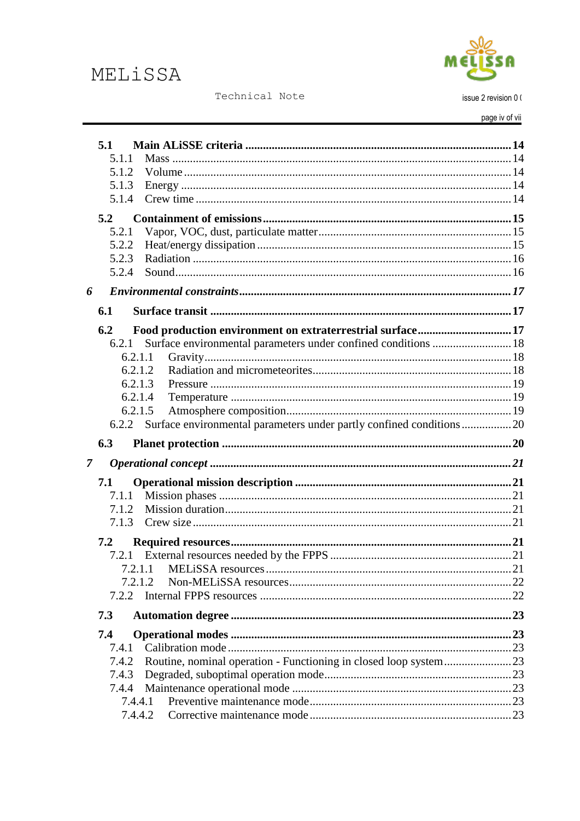



issue 2 revision 0 (

page iv of vii

|   | 5.1           |                                                                |  |
|---|---------------|----------------------------------------------------------------|--|
|   | 5.1.1         |                                                                |  |
|   | 5.1.2         |                                                                |  |
|   | 5.1.3         |                                                                |  |
|   | 5.1.4         |                                                                |  |
|   | 5.2           |                                                                |  |
|   | 5.2.1         |                                                                |  |
|   | 5.2.2         |                                                                |  |
|   | 5.2.3         |                                                                |  |
|   | 5.2.4         |                                                                |  |
| 6 |               |                                                                |  |
|   | 6.1           |                                                                |  |
|   | 6.2           |                                                                |  |
|   | 6.2.1         | Surface environmental parameters under confined conditions  18 |  |
|   |               | 6.2.1.1                                                        |  |
|   |               | 6.2.1.2                                                        |  |
|   |               | 6.2.1.3                                                        |  |
|   |               | 6.2.1.4                                                        |  |
|   |               | 6.2.1.5                                                        |  |
|   |               |                                                                |  |
|   |               |                                                                |  |
|   | 6.3           |                                                                |  |
| 7 |               |                                                                |  |
|   |               |                                                                |  |
|   | 7.1<br>7.1.1  |                                                                |  |
|   | 7.1.2         |                                                                |  |
|   | 7.1.3         |                                                                |  |
|   |               |                                                                |  |
|   | $7.2^{\circ}$ |                                                                |  |
|   | 7.2.1         | 7.2.1.1                                                        |  |
|   |               | 7.2.1.2                                                        |  |
|   | 7.2.2         |                                                                |  |
|   | 7.3           |                                                                |  |
|   |               |                                                                |  |
|   | 7.4<br>7.4.1  |                                                                |  |
|   | 7.4.2         |                                                                |  |
|   | 7.4.3         |                                                                |  |
|   | 7.4.4         |                                                                |  |
|   |               | 7.4.4.1                                                        |  |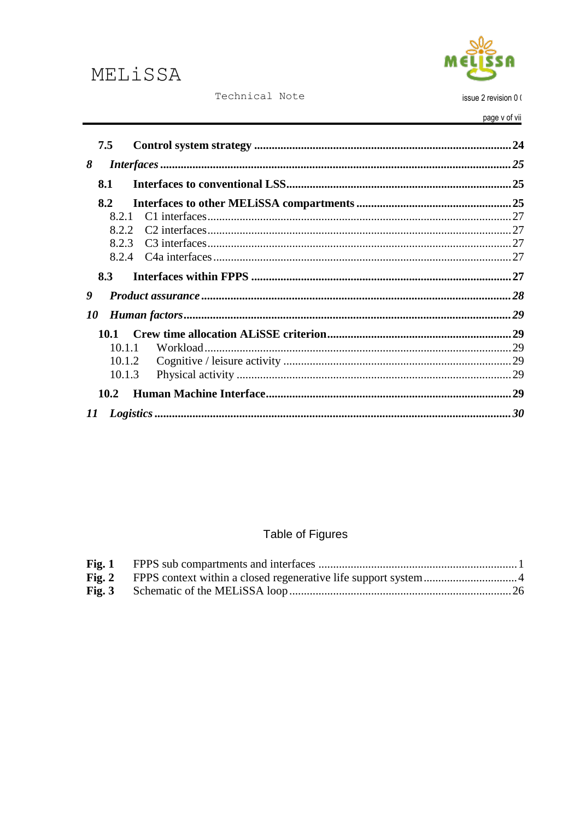# MELiSSA



#### Technical Note

issue 2 revision 0 (

|    | 7.5    |  |
|----|--------|--|
| 8  |        |  |
|    | 8.1    |  |
|    | 8.2    |  |
|    |        |  |
|    |        |  |
|    |        |  |
|    |        |  |
|    | 8.3    |  |
| 9  |        |  |
| 10 |        |  |
|    | 10.1   |  |
|    | 10.1.1 |  |
|    | 10.1.2 |  |
|    | 10.1.3 |  |
|    | 10.2   |  |
|    |        |  |

# Table of Figures

<span id="page-4-0"></span>

| Fig. 3 |  |
|--------|--|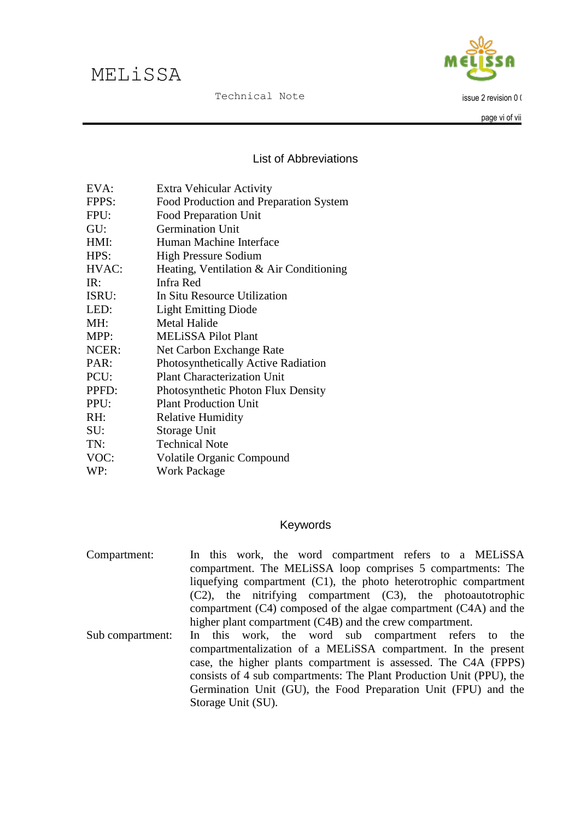# MELiSSA



Technical Note

issue 2 revision 0 (

page vi of vii

#### List of Abbreviations

<span id="page-5-0"></span>

| EVA:  | Extra Vehicular Activity                |
|-------|-----------------------------------------|
| FPPS: | Food Production and Preparation System  |
| FPU:  | <b>Food Preparation Unit</b>            |
| GU:   | <b>Germination Unit</b>                 |
| HMI:  | Human Machine Interface                 |
| HPS:  | <b>High Pressure Sodium</b>             |
| HVAC: | Heating, Ventilation & Air Conditioning |
| IR:   | Infra Red                               |
| ISRU: | In Situ Resource Utilization            |
| LED:  | <b>Light Emitting Diode</b>             |
| MH:   | <b>Metal Halide</b>                     |
| MPP:  | <b>MELISSA Pilot Plant</b>              |
| NCER: | Net Carbon Exchange Rate                |
| PAR:  | Photosynthetically Active Radiation     |
| PCU:  | <b>Plant Characterization Unit</b>      |
| PPFD: | Photosynthetic Photon Flux Density      |
| PPU:  | <b>Plant Production Unit</b>            |
| RH:   | <b>Relative Humidity</b>                |
| SU:   | Storage Unit                            |
| TN:   | <b>Technical Note</b>                   |
| VOC:  | <b>Volatile Organic Compound</b>        |
| WP:   | <b>Work Package</b>                     |

#### Keywords

<span id="page-5-1"></span>Compartment: In this work, the word compartment refers to a MELiSSA compartment. The MELiSSA loop comprises 5 compartments: The liquefying compartment (C1), the photo heterotrophic compartment (C2), the nitrifying compartment (C3), the photoautotrophic compartment (C4) composed of the algae compartment (C4A) and the higher plant compartment (C4B) and the crew compartment. Sub compartment: In this work, the word sub compartment refers to the compartmentalization of a MELiSSA compartment. In the present case, the higher plants compartment is assessed. The C4A (FPPS) consists of 4 sub compartments: The Plant Production Unit (PPU), the Germination Unit (GU), the Food Preparation Unit (FPU) and the Storage Unit (SU).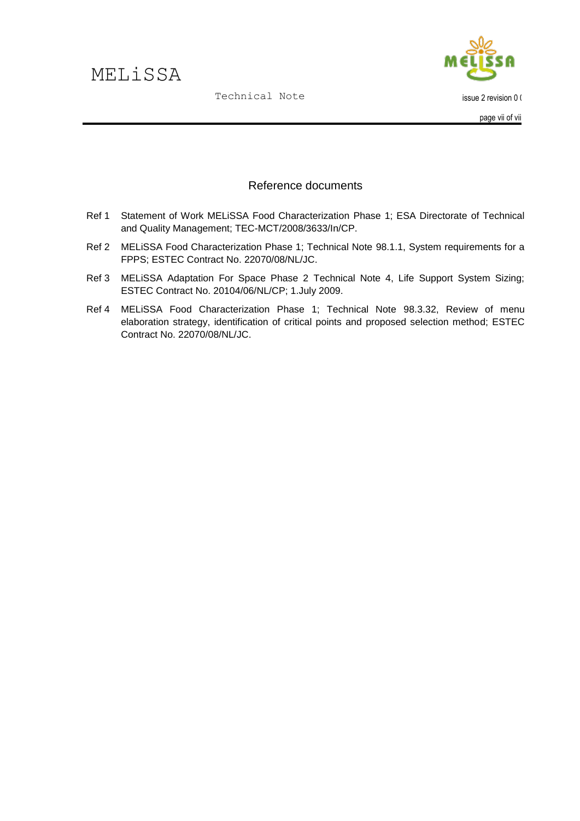

page vii of vii

#### Reference documents

- <span id="page-6-0"></span>Ref 1 Statement of Work MELiSSA Food Characterization Phase 1; ESA Directorate of Technical and Quality Management; TEC-MCT/2008/3633/In/CP.
- <span id="page-6-1"></span>Ref 2 MELiSSA Food Characterization Phase 1; Technical Note 98.1.1, System requirements for a FPPS; ESTEC Contract No. 22070/08/NL/JC.
- <span id="page-6-3"></span>Ref 3 MELiSSA Adaptation For Space Phase 2 Technical Note 4, Life Support System Sizing; ESTEC Contract No. 20104/06/NL/CP; 1.July 2009.
- <span id="page-6-2"></span>Ref 4 MELiSSA Food Characterization Phase 1; Technical Note 98.3.32, Review of menu elaboration strategy, identification of critical points and proposed selection method; ESTEC Contract No. 22070/08/NL/JC.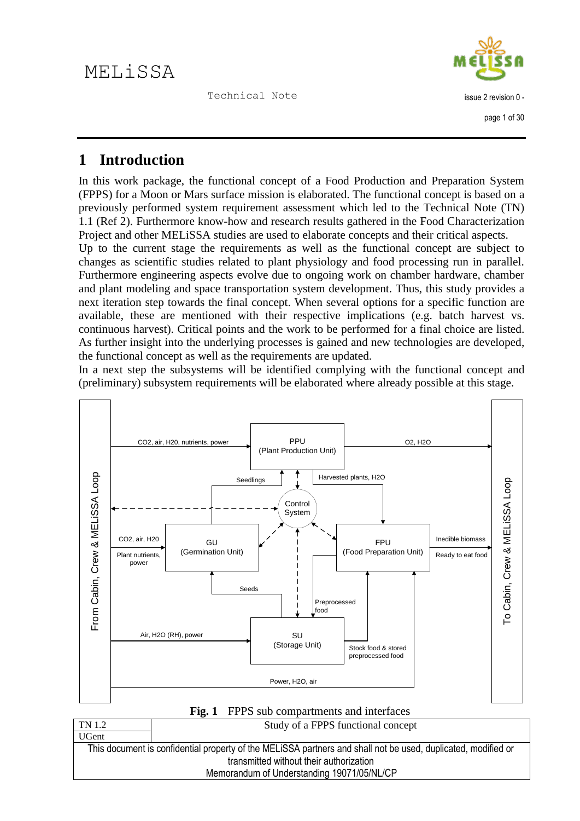

# <span id="page-7-0"></span>**1 Introduction**

In this work package, the functional concept of a Food Production and Preparation System (FPPS) for a Moon or Mars surface mission is elaborated. The functional concept is based on a previously performed system requirement assessment which led to the Technical Note (TN) 1.1 [\(Ref 2\)](#page-6-1). Furthermore know-how and research results gathered in the Food Characterization Project and other MELiSSA studies are used to elaborate concepts and their critical aspects.

Up to the current stage the requirements as well as the functional concept are subject to changes as scientific studies related to plant physiology and food processing run in parallel. Furthermore engineering aspects evolve due to ongoing work on chamber hardware, chamber and plant modeling and space transportation system development. Thus, this study provides a next iteration step towards the final concept. When several options for a specific function are available, these are mentioned with their respective implications (e.g. batch harvest vs. continuous harvest). Critical points and the work to be performed for a final choice are listed. As further insight into the underlying processes is gained and new technologies are developed, the functional concept as well as the requirements are updated.

In a next step the subsystems will be identified complying with the functional concept and (preliminary) subsystem requirements will be elaborated where already possible at this stage.





<span id="page-7-1"></span>

| TN 1.2       | Study of a FPPS functional concept                                                                            |
|--------------|---------------------------------------------------------------------------------------------------------------|
| <b>UGent</b> |                                                                                                               |
|              | This document is confidential property of the MELISSA partners and shall not be used, duplicated, modified or |
|              | transmitted without their authorization                                                                       |
|              | Memorandum of Understanding 19071/05/NL/CP                                                                    |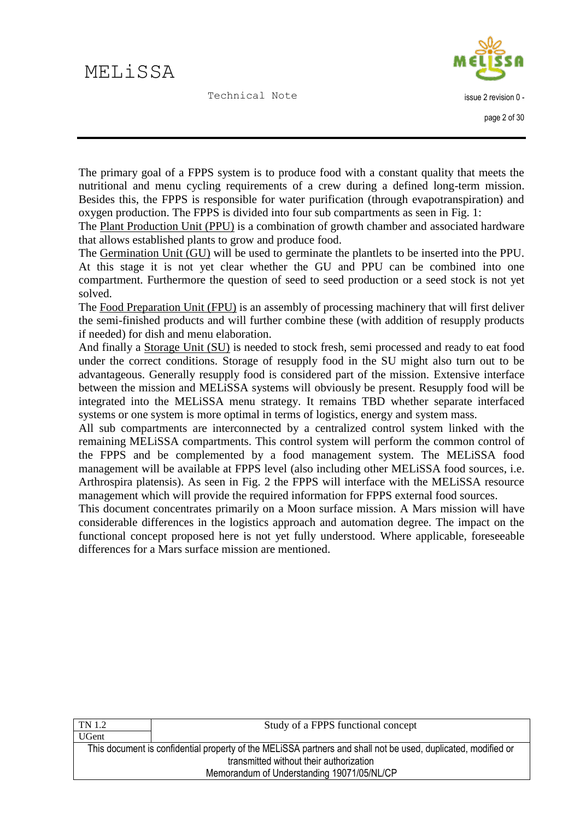# MEL<sub>i</sub>SSA

Technical Note



The primary goal of a FPPS system is to produce food with a constant quality that meets the nutritional and menu cycling requirements of a crew during a defined long-term mission. Besides this, the FPPS is responsible for water purification (through evapotranspiration) and oxygen production. The FPPS is divided into four sub compartments as seen in [Fig. 1:](#page-7-1)

The Plant Production Unit (PPU) is a combination of growth chamber and associated hardware that allows established plants to grow and produce food.

The Germination Unit (GU) will be used to germinate the plantlets to be inserted into the PPU. At this stage it is not yet clear whether the GU and PPU can be combined into one compartment. Furthermore the question of seed to seed production or a seed stock is not yet solved.

The Food Preparation Unit (FPU) is an assembly of processing machinery that will first deliver the semi-finished products and will further combine these (with addition of resupply products if needed) for dish and menu elaboration.

And finally a Storage Unit (SU) is needed to stock fresh, semi processed and ready to eat food under the correct conditions. Storage of resupply food in the SU might also turn out to be advantageous. Generally resupply food is considered part of the mission. Extensive interface between the mission and MELiSSA systems will obviously be present. Resupply food will be integrated into the MELiSSA menu strategy. It remains TBD whether separate interfaced systems or one system is more optimal in terms of logistics, energy and system mass.

All sub compartments are interconnected by a centralized control system linked with the remaining MELiSSA compartments. This control system will perform the common control of the FPPS and be complemented by a food management system. The MELiSSA food management will be available at FPPS level (also including other MELiSSA food sources, i.e. Arthrospira platensis). As seen in [Fig. 2](#page-10-0) the FPPS will interface with the MELiSSA resource management which will provide the required information for FPPS external food sources.

This document concentrates primarily on a Moon surface mission. A Mars mission will have considerable differences in the logistics approach and automation degree. The impact on the functional concept proposed here is not yet fully understood. Where applicable, foreseeable differences for a Mars surface mission are mentioned.

| Study of a FPPS functional concept                                                                            |  |
|---------------------------------------------------------------------------------------------------------------|--|
|                                                                                                               |  |
| This document is confidential property of the MELISSA partners and shall not be used, duplicated, modified or |  |
| transmitted without their authorization                                                                       |  |
| Memorandum of Understanding 19071/05/NL/CP                                                                    |  |
|                                                                                                               |  |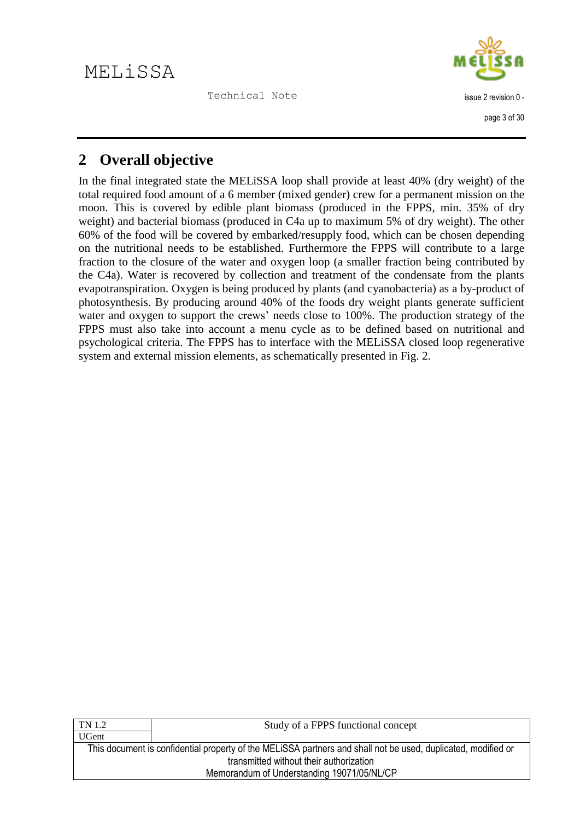

# <span id="page-9-0"></span>**2 Overall objective**

In the final integrated state the MELiSSA loop shall provide at least 40% (dry weight) of the total required food amount of a 6 member (mixed gender) crew for a permanent mission on the moon. This is covered by edible plant biomass (produced in the FPPS, min. 35% of dry weight) and bacterial biomass (produced in C4a up to maximum 5% of dry weight). The other 60% of the food will be covered by embarked/resupply food, which can be chosen depending on the nutritional needs to be established. Furthermore the FPPS will contribute to a large fraction to the closure of the water and oxygen loop (a smaller fraction being contributed by the C4a). Water is recovered by collection and treatment of the condensate from the plants evapotranspiration. Oxygen is being produced by plants (and cyanobacteria) as a by-product of photosynthesis. By producing around 40% of the foods dry weight plants generate sufficient water and oxygen to support the crews' needs close to 100%. The production strategy of the FPPS must also take into account a menu cycle as to be defined based on nutritional and psychological criteria. The FPPS has to interface with the MELiSSA closed loop regenerative system and external mission elements, as schematically presented in [Fig. 2.](#page-10-0)

| TN 1.2                                                                                                        | Study of a FPPS functional concept |
|---------------------------------------------------------------------------------------------------------------|------------------------------------|
| UGent                                                                                                         |                                    |
| This document is confidential property of the MELISSA partners and shall not be used, duplicated, modified or |                                    |
| transmitted without their authorization                                                                       |                                    |
| Memorandum of Understanding 19071/05/NL/CP                                                                    |                                    |
|                                                                                                               |                                    |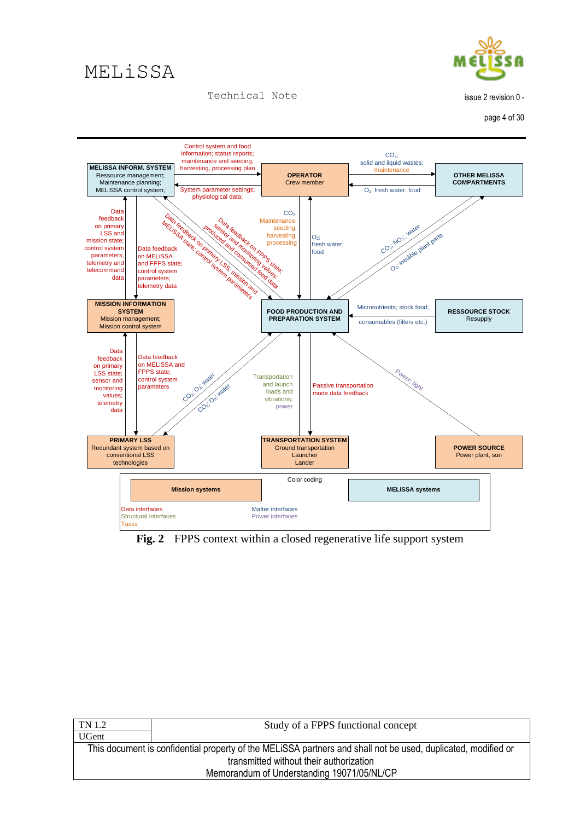



issue 2 revision 0 -

page 4 of 30



<span id="page-10-0"></span>**Fig. 2** FPPS context within a closed regenerative life support system

| TN 1.2                                                                                                        | Study of a FPPS functional concept |
|---------------------------------------------------------------------------------------------------------------|------------------------------------|
| UGent                                                                                                         |                                    |
| This document is confidential property of the MELISSA partners and shall not be used, duplicated, modified or |                                    |
| transmitted without their authorization                                                                       |                                    |
| Memorandum of Understanding 19071/05/NL/CP                                                                    |                                    |
|                                                                                                               |                                    |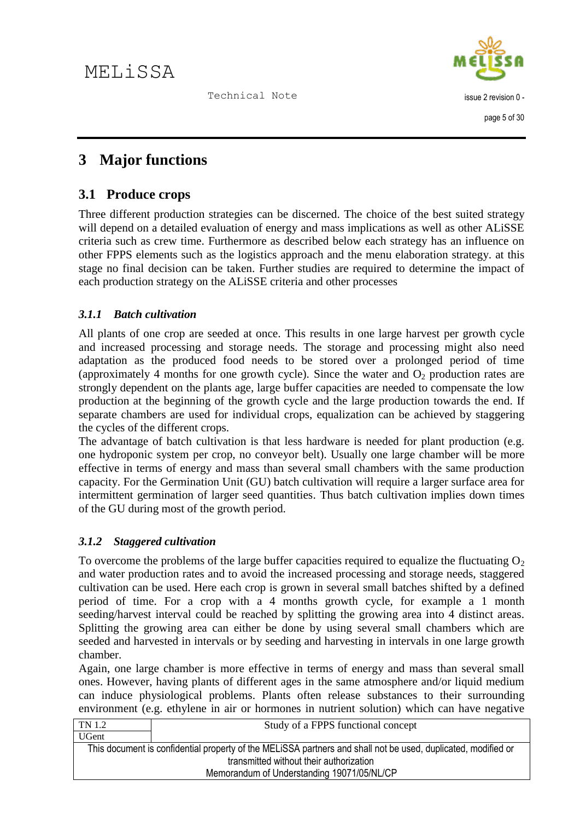

# <span id="page-11-0"></span>**3 Major functions**

## <span id="page-11-1"></span>**3.1 Produce crops**

Three different production strategies can be discerned. The choice of the best suited strategy will depend on a detailed evaluation of energy and mass implications as well as other ALiSSE criteria such as crew time. Furthermore as described below each strategy has an influence on other FPPS elements such as the logistics approach and the menu elaboration strategy. at this stage no final decision can be taken. Further studies are required to determine the impact of each production strategy on the ALiSSE criteria and other processes

### <span id="page-11-2"></span>*3.1.1 Batch cultivation*

All plants of one crop are seeded at once. This results in one large harvest per growth cycle and increased processing and storage needs. The storage and processing might also need adaptation as the produced food needs to be stored over a prolonged period of time (approximately 4 months for one growth cycle). Since the water and  $O_2$  production rates are strongly dependent on the plants age, large buffer capacities are needed to compensate the low production at the beginning of the growth cycle and the large production towards the end. If separate chambers are used for individual crops, equalization can be achieved by staggering the cycles of the different crops.

The advantage of batch cultivation is that less hardware is needed for plant production (e.g. one hydroponic system per crop, no conveyor belt). Usually one large chamber will be more effective in terms of energy and mass than several small chambers with the same production capacity. For the Germination Unit (GU) batch cultivation will require a larger surface area for intermittent germination of larger seed quantities. Thus batch cultivation implies down times of the GU during most of the growth period.

#### <span id="page-11-3"></span>*3.1.2 Staggered cultivation*

To overcome the problems of the large buffer capacities required to equalize the fluctuating  $O_2$ and water production rates and to avoid the increased processing and storage needs, staggered cultivation can be used. Here each crop is grown in several small batches shifted by a defined period of time. For a crop with a 4 months growth cycle, for example a 1 month seeding/harvest interval could be reached by splitting the growing area into 4 distinct areas. Splitting the growing area can either be done by using several small chambers which are seeded and harvested in intervals or by seeding and harvesting in intervals in one large growth chamber.

Again, one large chamber is more effective in terms of energy and mass than several small ones. However, having plants of different ages in the same atmosphere and/or liquid medium can induce physiological problems. Plants often release substances to their surrounding environment (e.g. ethylene in air or hormones in nutrient solution) which can have negative

| TN 1.2                                                                                                        | Study of a FPPS functional concept |  |
|---------------------------------------------------------------------------------------------------------------|------------------------------------|--|
| <b>UGent</b>                                                                                                  |                                    |  |
| This document is confidential property of the MELISSA partners and shall not be used, duplicated, modified or |                                    |  |
| transmitted without their authorization                                                                       |                                    |  |
| Memorandum of Understanding 19071/05/NL/CP                                                                    |                                    |  |
|                                                                                                               |                                    |  |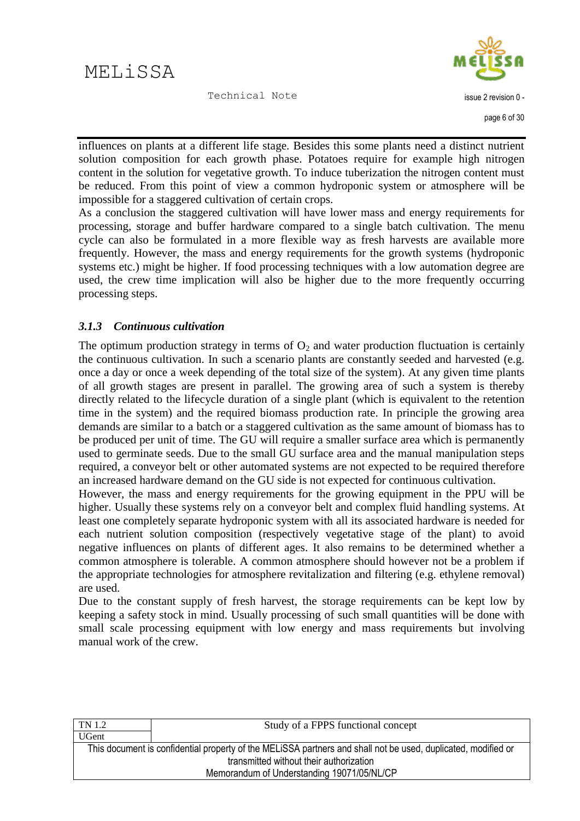

influences on plants at a different life stage. Besides this some plants need a distinct nutrient solution composition for each growth phase. Potatoes require for example high nitrogen content in the solution for vegetative growth. To induce tuberization the nitrogen content must be reduced. From this point of view a common hydroponic system or atmosphere will be impossible for a staggered cultivation of certain crops.

As a conclusion the staggered cultivation will have lower mass and energy requirements for processing, storage and buffer hardware compared to a single batch cultivation. The menu cycle can also be formulated in a more flexible way as fresh harvests are available more frequently. However, the mass and energy requirements for the growth systems (hydroponic systems etc.) might be higher. If food processing techniques with a low automation degree are used, the crew time implication will also be higher due to the more frequently occurring processing steps.

#### <span id="page-12-0"></span>*3.1.3 Continuous cultivation*

The optimum production strategy in terms of  $O_2$  and water production fluctuation is certainly the continuous cultivation. In such a scenario plants are constantly seeded and harvested (e.g. once a day or once a week depending of the total size of the system). At any given time plants of all growth stages are present in parallel. The growing area of such a system is thereby directly related to the lifecycle duration of a single plant (which is equivalent to the retention time in the system) and the required biomass production rate. In principle the growing area demands are similar to a batch or a staggered cultivation as the same amount of biomass has to be produced per unit of time. The GU will require a smaller surface area which is permanently used to germinate seeds. Due to the small GU surface area and the manual manipulation steps required, a conveyor belt or other automated systems are not expected to be required therefore an increased hardware demand on the GU side is not expected for continuous cultivation.

However, the mass and energy requirements for the growing equipment in the PPU will be higher. Usually these systems rely on a conveyor belt and complex fluid handling systems. At least one completely separate hydroponic system with all its associated hardware is needed for each nutrient solution composition (respectively vegetative stage of the plant) to avoid negative influences on plants of different ages. It also remains to be determined whether a common atmosphere is tolerable. A common atmosphere should however not be a problem if the appropriate technologies for atmosphere revitalization and filtering (e.g. ethylene removal) are used.

Due to the constant supply of fresh harvest, the storage requirements can be kept low by keeping a safety stock in mind. Usually processing of such small quantities will be done with small scale processing equipment with low energy and mass requirements but involving manual work of the crew.

| Study of a FPPS functional concept                                                                            |  |
|---------------------------------------------------------------------------------------------------------------|--|
|                                                                                                               |  |
| This document is confidential property of the MELISSA partners and shall not be used, duplicated, modified or |  |
| transmitted without their authorization                                                                       |  |
| Memorandum of Understanding 19071/05/NL/CP                                                                    |  |
|                                                                                                               |  |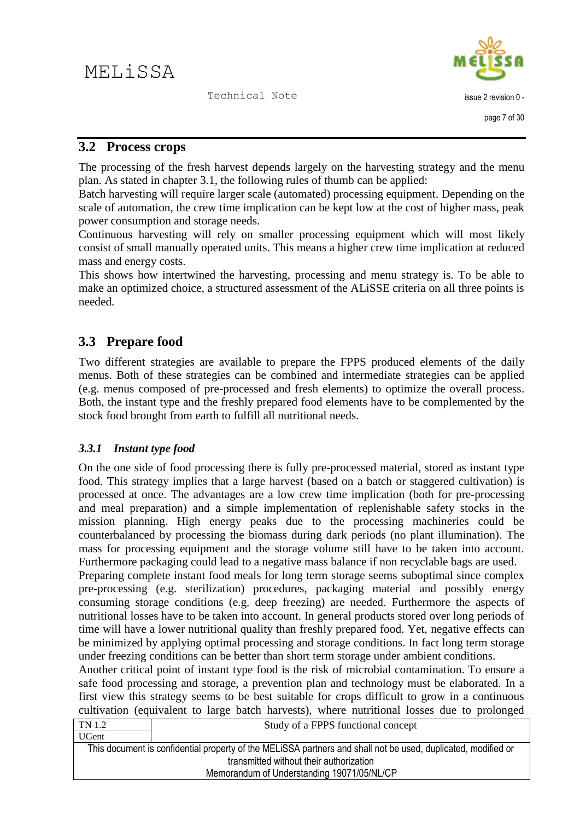

### <span id="page-13-0"></span>**3.2 Process crops**

The processing of the fresh harvest depends largely on the harvesting strategy and the menu plan. As stated in chapter [3.1,](#page-11-1) the following rules of thumb can be applied:

Batch harvesting will require larger scale (automated) processing equipment. Depending on the scale of automation, the crew time implication can be kept low at the cost of higher mass, peak power consumption and storage needs.

Continuous harvesting will rely on smaller processing equipment which will most likely consist of small manually operated units. This means a higher crew time implication at reduced mass and energy costs.

This shows how intertwined the harvesting, processing and menu strategy is. To be able to make an optimized choice, a structured assessment of the ALiSSE criteria on all three points is needed.

## <span id="page-13-1"></span>**3.3 Prepare food**

Two different strategies are available to prepare the FPPS produced elements of the daily menus. Both of these strategies can be combined and intermediate strategies can be applied (e.g. menus composed of pre-processed and fresh elements) to optimize the overall process. Both, the instant type and the freshly prepared food elements have to be complemented by the stock food brought from earth to fulfill all nutritional needs.

#### <span id="page-13-2"></span>*3.3.1 Instant type food*

On the one side of food processing there is fully pre-processed material, stored as instant type food. This strategy implies that a large harvest (based on a batch or staggered cultivation) is processed at once. The advantages are a low crew time implication (both for pre-processing and meal preparation) and a simple implementation of replenishable safety stocks in the mission planning. High energy peaks due to the processing machineries could be counterbalanced by processing the biomass during dark periods (no plant illumination). The mass for processing equipment and the storage volume still have to be taken into account. Furthermore packaging could lead to a negative mass balance if non recyclable bags are used.

Preparing complete instant food meals for long term storage seems suboptimal since complex pre-processing (e.g. sterilization) procedures, packaging material and possibly energy consuming storage conditions (e.g. deep freezing) are needed. Furthermore the aspects of nutritional losses have to be taken into account. In general products stored over long periods of time will have a lower nutritional quality than freshly prepared food. Yet, negative effects can be minimized by applying optimal processing and storage conditions. In fact long term storage under freezing conditions can be better than short term storage under ambient conditions.

Another critical point of instant type food is the risk of microbial contamination. To ensure a safe food processing and storage, a prevention plan and technology must be elaborated. In a first view this strategy seems to be best suitable for crops difficult to grow in a continuous cultivation (equivalent to large batch harvests), where nutritional losses due to prolonged

| TN 1.2                                                                                                                                                   | Study of a FPPS functional concept |
|----------------------------------------------------------------------------------------------------------------------------------------------------------|------------------------------------|
| <b>UGent</b>                                                                                                                                             |                                    |
| This document is confidential property of the MELISSA partners and shall not be used, duplicated, modified or<br>transmitted without their authorization |                                    |
| Memorandum of Understanding 19071/05/NL/CP                                                                                                               |                                    |
|                                                                                                                                                          |                                    |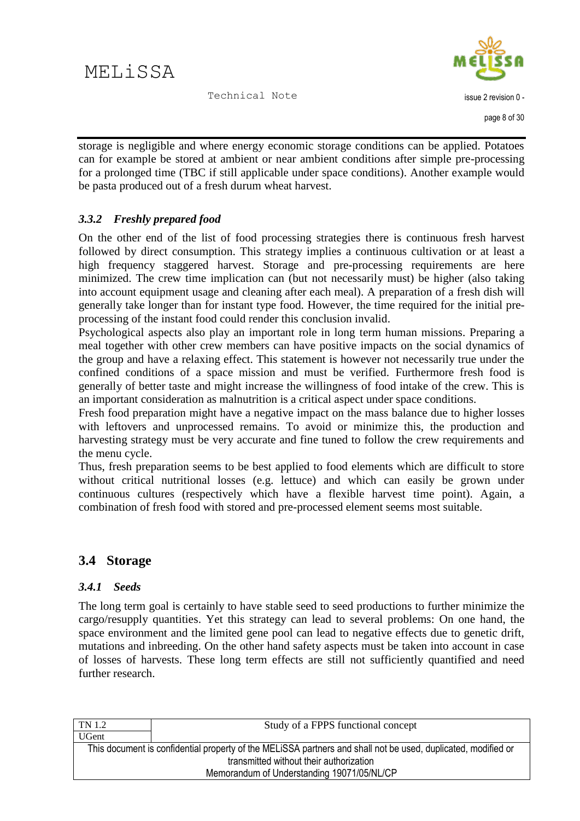

storage is negligible and where energy economic storage conditions can be applied. Potatoes can for example be stored at ambient or near ambient conditions after simple pre-processing for a prolonged time (TBC if still applicable under space conditions). Another example would be pasta produced out of a fresh durum wheat harvest.

### <span id="page-14-0"></span>*3.3.2 Freshly prepared food*

On the other end of the list of food processing strategies there is continuous fresh harvest followed by direct consumption. This strategy implies a continuous cultivation or at least a high frequency staggered harvest. Storage and pre-processing requirements are here minimized. The crew time implication can (but not necessarily must) be higher (also taking into account equipment usage and cleaning after each meal). A preparation of a fresh dish will generally take longer than for instant type food. However, the time required for the initial preprocessing of the instant food could render this conclusion invalid.

Psychological aspects also play an important role in long term human missions. Preparing a meal together with other crew members can have positive impacts on the social dynamics of the group and have a relaxing effect. This statement is however not necessarily true under the confined conditions of a space mission and must be verified. Furthermore fresh food is generally of better taste and might increase the willingness of food intake of the crew. This is an important consideration as malnutrition is a critical aspect under space conditions.

Fresh food preparation might have a negative impact on the mass balance due to higher losses with leftovers and unprocessed remains. To avoid or minimize this, the production and harvesting strategy must be very accurate and fine tuned to follow the crew requirements and the menu cycle.

Thus, fresh preparation seems to be best applied to food elements which are difficult to store without critical nutritional losses (e.g. lettuce) and which can easily be grown under continuous cultures (respectively which have a flexible harvest time point). Again, a combination of fresh food with stored and pre-processed element seems most suitable.

### <span id="page-14-1"></span>**3.4 Storage**

#### <span id="page-14-2"></span>*3.4.1 Seeds*

The long term goal is certainly to have stable seed to seed productions to further minimize the cargo/resupply quantities. Yet this strategy can lead to several problems: On one hand, the space environment and the limited gene pool can lead to negative effects due to genetic drift, mutations and inbreeding. On the other hand safety aspects must be taken into account in case of losses of harvests. These long term effects are still not sufficiently quantified and need further research.

| TN 1.2<br>Study of a FPPS functional concept                                                                                                             |  |
|----------------------------------------------------------------------------------------------------------------------------------------------------------|--|
| UGent                                                                                                                                                    |  |
| This document is confidential property of the MELISSA partners and shall not be used, duplicated, modified or<br>transmitted without their authorization |  |
| Memorandum of Understanding 19071/05/NL/CP                                                                                                               |  |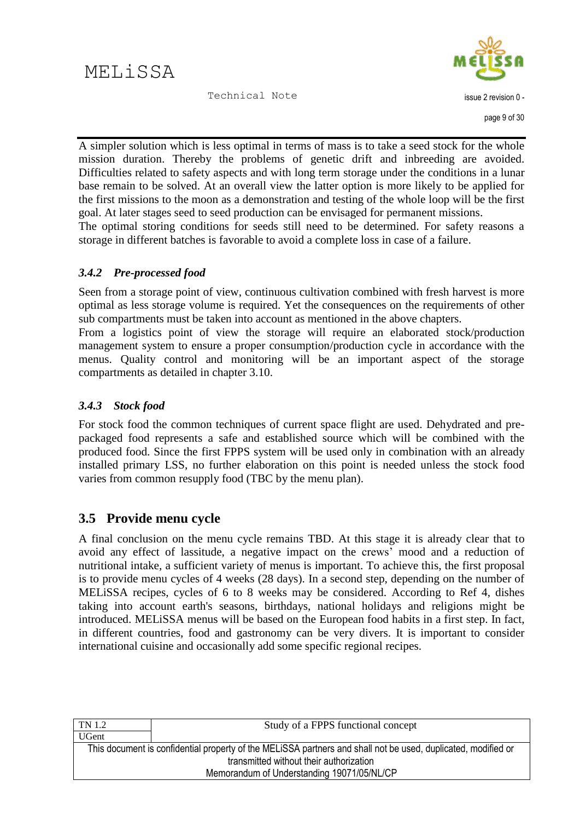

A simpler solution which is less optimal in terms of mass is to take a seed stock for the whole mission duration. Thereby the problems of genetic drift and inbreeding are avoided. Difficulties related to safety aspects and with long term storage under the conditions in a lunar base remain to be solved. At an overall view the latter option is more likely to be applied for the first missions to the moon as a demonstration and testing of the whole loop will be the first goal. At later stages seed to seed production can be envisaged for permanent missions.

The optimal storing conditions for seeds still need to be determined. For safety reasons a storage in different batches is favorable to avoid a complete loss in case of a failure.

### <span id="page-15-0"></span>*3.4.2 Pre-processed food*

Seen from a storage point of view, continuous cultivation combined with fresh harvest is more optimal as less storage volume is required. Yet the consequences on the requirements of other sub compartments must be taken into account as mentioned in the above chapters.

From a logistics point of view the storage will require an elaborated stock/production management system to ensure a proper consumption/production cycle in accordance with the menus. Quality control and monitoring will be an important aspect of the storage compartments as detailed in chapter [3.10.](#page-18-0)

#### <span id="page-15-1"></span>*3.4.3 Stock food*

For stock food the common techniques of current space flight are used. Dehydrated and prepackaged food represents a safe and established source which will be combined with the produced food. Since the first FPPS system will be used only in combination with an already installed primary LSS, no further elaboration on this point is needed unless the stock food varies from common resupply food (TBC by the menu plan).

### <span id="page-15-2"></span>**3.5 Provide menu cycle**

A final conclusion on the menu cycle remains TBD. At this stage it is already clear that to avoid any effect of lassitude, a negative impact on the crews' mood and a reduction of nutritional intake, a sufficient variety of menus is important. To achieve this, the first proposal is to provide menu cycles of 4 weeks (28 days). In a second step, depending on the number of MELiSSA recipes, cycles of 6 to 8 weeks may be considered. According to [Ref 4,](#page-6-2) dishes taking into account earth's seasons, birthdays, national holidays and religions might be introduced. MELiSSA menus will be based on the European food habits in a first step. In fact, in different countries, food and gastronomy can be very divers. It is important to consider international cuisine and occasionally add some specific regional recipes.

| TN 1.2                                                                                                        | Study of a FPPS functional concept |
|---------------------------------------------------------------------------------------------------------------|------------------------------------|
| UGent                                                                                                         |                                    |
| This document is confidential property of the MELISSA partners and shall not be used, duplicated, modified or |                                    |
| transmitted without their authorization                                                                       |                                    |
| Memorandum of Understanding 19071/05/NL/CP                                                                    |                                    |
|                                                                                                               |                                    |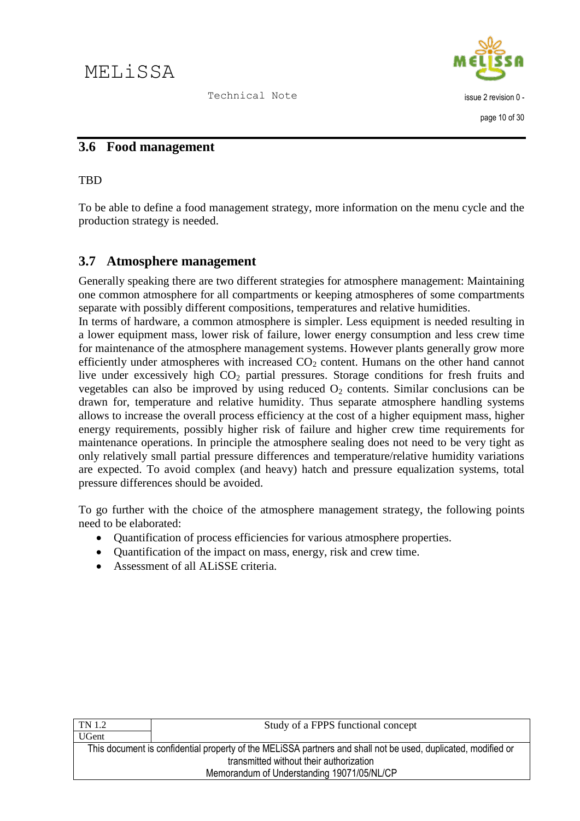

## <span id="page-16-0"></span>**3.6 Food management**

#### **TBD**

To be able to define a food management strategy, more information on the menu cycle and the production strategy is needed.

#### <span id="page-16-1"></span>**3.7 Atmosphere management**

Generally speaking there are two different strategies for atmosphere management: Maintaining one common atmosphere for all compartments or keeping atmospheres of some compartments separate with possibly different compositions, temperatures and relative humidities.

In terms of hardware, a common atmosphere is simpler. Less equipment is needed resulting in a lower equipment mass, lower risk of failure, lower energy consumption and less crew time for maintenance of the atmosphere management systems. However plants generally grow more efficiently under atmospheres with increased  $CO<sub>2</sub>$  content. Humans on the other hand cannot live under excessively high  $CO<sub>2</sub>$  partial pressures. Storage conditions for fresh fruits and vegetables can also be improved by using reduced  $O_2$  contents. Similar conclusions can be drawn for, temperature and relative humidity. Thus separate atmosphere handling systems allows to increase the overall process efficiency at the cost of a higher equipment mass, higher energy requirements, possibly higher risk of failure and higher crew time requirements for maintenance operations. In principle the atmosphere sealing does not need to be very tight as only relatively small partial pressure differences and temperature/relative humidity variations are expected. To avoid complex (and heavy) hatch and pressure equalization systems, total pressure differences should be avoided.

To go further with the choice of the atmosphere management strategy, the following points need to be elaborated:

- Quantification of process efficiencies for various atmosphere properties.
- Ouantification of the impact on mass, energy, risk and crew time.
- Assessment of all ALiSSE criteria.

| TN 1.2                                                                                                                                                                                                 | Study of a FPPS functional concept |
|--------------------------------------------------------------------------------------------------------------------------------------------------------------------------------------------------------|------------------------------------|
| UGent                                                                                                                                                                                                  |                                    |
| This document is confidential property of the MELISSA partners and shall not be used, duplicated, modified or<br>transmitted without their authorization<br>Memorandum of Understanding 19071/05/NL/CP |                                    |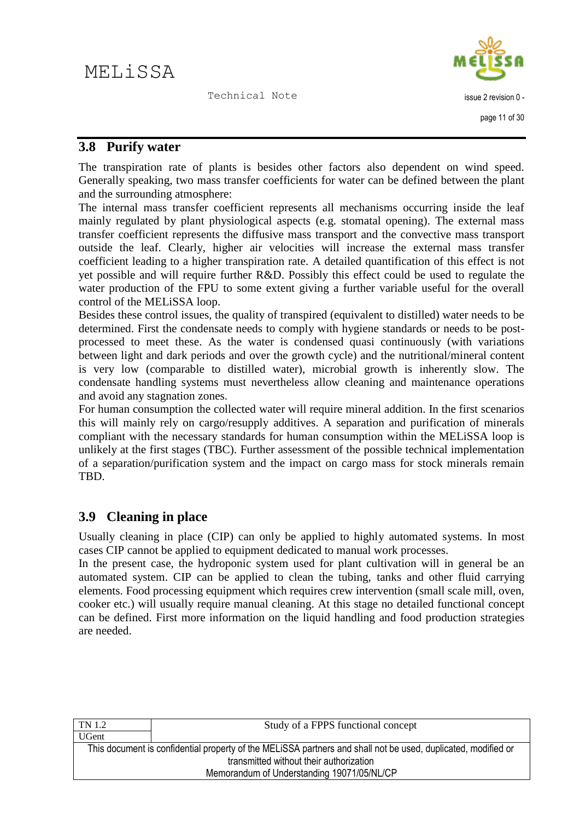issue 2 revision 0 page 11 of 30

Technical Note

#### <span id="page-17-0"></span>**3.8 Purify water**

The transpiration rate of plants is besides other factors also dependent on wind speed. Generally speaking, two mass transfer coefficients for water can be defined between the plant and the surrounding atmosphere:

The internal mass transfer coefficient represents all mechanisms occurring inside the leaf mainly regulated by plant physiological aspects (e.g. stomatal opening). The external mass transfer coefficient represents the diffusive mass transport and the convective mass transport outside the leaf. Clearly, higher air velocities will increase the external mass transfer coefficient leading to a higher transpiration rate. A detailed quantification of this effect is not yet possible and will require further R&D. Possibly this effect could be used to regulate the water production of the FPU to some extent giving a further variable useful for the overall control of the MELiSSA loop.

Besides these control issues, the quality of transpired (equivalent to distilled) water needs to be determined. First the condensate needs to comply with hygiene standards or needs to be postprocessed to meet these. As the water is condensed quasi continuously (with variations between light and dark periods and over the growth cycle) and the nutritional/mineral content is very low (comparable to distilled water), microbial growth is inherently slow. The condensate handling systems must nevertheless allow cleaning and maintenance operations and avoid any stagnation zones.

For human consumption the collected water will require mineral addition. In the first scenarios this will mainly rely on cargo/resupply additives. A separation and purification of minerals compliant with the necessary standards for human consumption within the MELiSSA loop is unlikely at the first stages (TBC). Further assessment of the possible technical implementation of a separation/purification system and the impact on cargo mass for stock minerals remain TBD.

### <span id="page-17-1"></span>**3.9 Cleaning in place**

Usually cleaning in place (CIP) can only be applied to highly automated systems. In most cases CIP cannot be applied to equipment dedicated to manual work processes.

In the present case, the hydroponic system used for plant cultivation will in general be an automated system. CIP can be applied to clean the tubing, tanks and other fluid carrying elements. Food processing equipment which requires crew intervention (small scale mill, oven, cooker etc.) will usually require manual cleaning. At this stage no detailed functional concept can be defined. First more information on the liquid handling and food production strategies are needed.

| TN 1.2 | Study of a FPPS functional concept                                                                                                                                                                     |
|--------|--------------------------------------------------------------------------------------------------------------------------------------------------------------------------------------------------------|
| UGent  |                                                                                                                                                                                                        |
|        | This document is confidential property of the MELISSA partners and shall not be used, duplicated, modified or<br>transmitted without their authorization<br>Memorandum of Understanding 19071/05/NL/CP |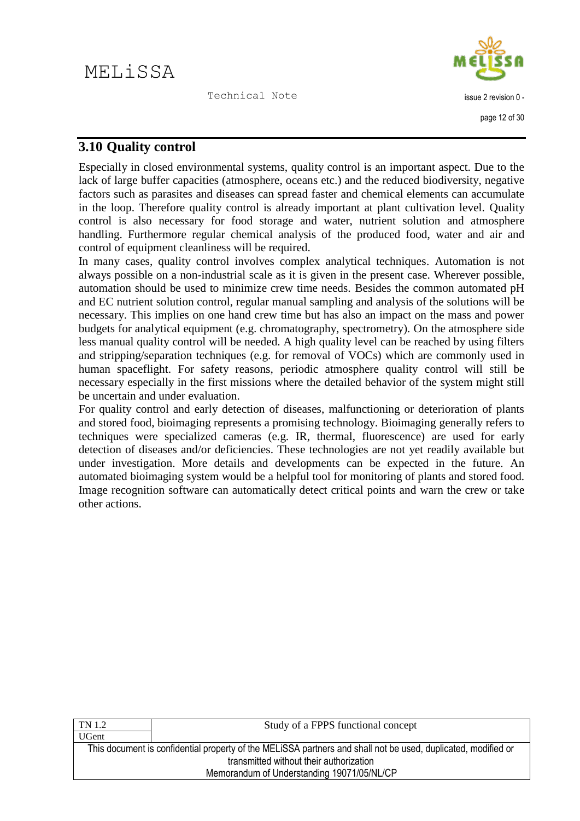issue 2 revision 0 page 12 of 30

Technical Note

## <span id="page-18-0"></span>**3.10 Quality control**

Especially in closed environmental systems, quality control is an important aspect. Due to the lack of large buffer capacities (atmosphere, oceans etc.) and the reduced biodiversity, negative factors such as parasites and diseases can spread faster and chemical elements can accumulate in the loop. Therefore quality control is already important at plant cultivation level. Quality control is also necessary for food storage and water, nutrient solution and atmosphere handling. Furthermore regular chemical analysis of the produced food, water and air and control of equipment cleanliness will be required.

In many cases, quality control involves complex analytical techniques. Automation is not always possible on a non-industrial scale as it is given in the present case. Wherever possible, automation should be used to minimize crew time needs. Besides the common automated pH and EC nutrient solution control, regular manual sampling and analysis of the solutions will be necessary. This implies on one hand crew time but has also an impact on the mass and power budgets for analytical equipment (e.g. chromatography, spectrometry). On the atmosphere side less manual quality control will be needed. A high quality level can be reached by using filters and stripping/separation techniques (e.g. for removal of VOCs) which are commonly used in human spaceflight. For safety reasons, periodic atmosphere quality control will still be necessary especially in the first missions where the detailed behavior of the system might still be uncertain and under evaluation.

For quality control and early detection of diseases, malfunctioning or deterioration of plants and stored food, bioimaging represents a promising technology. Bioimaging generally refers to techniques were specialized cameras (e.g. IR, thermal, fluorescence) are used for early detection of diseases and/or deficiencies. These technologies are not yet readily available but under investigation. More details and developments can be expected in the future. An automated bioimaging system would be a helpful tool for monitoring of plants and stored food. Image recognition software can automatically detect critical points and warn the crew or take other actions.

| Study of a FPPS functional concept                                                                            |  |
|---------------------------------------------------------------------------------------------------------------|--|
|                                                                                                               |  |
| This document is confidential property of the MELISSA partners and shall not be used, duplicated, modified or |  |
| transmitted without their authorization                                                                       |  |
| Memorandum of Understanding 19071/05/NL/CP                                                                    |  |
|                                                                                                               |  |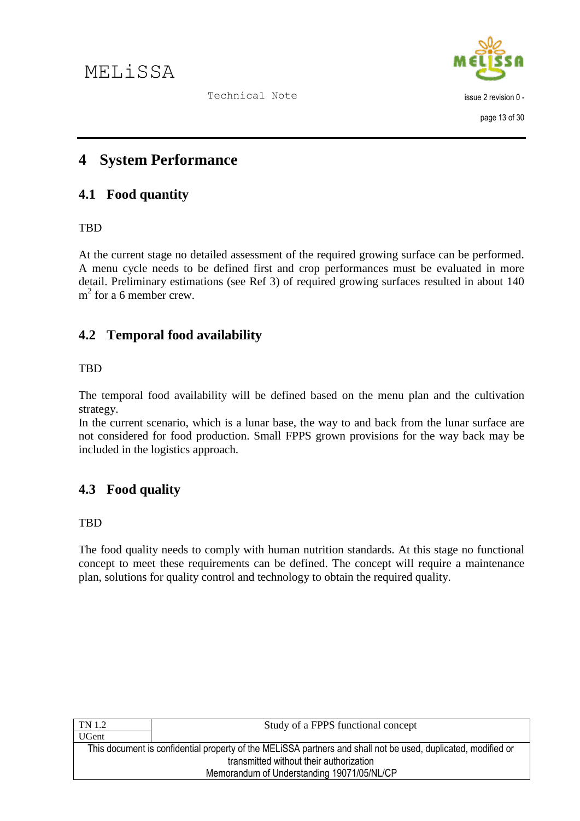

## <span id="page-19-0"></span>**4 System Performance**

## <span id="page-19-1"></span>**4.1 Food quantity**

TBD

At the current stage no detailed assessment of the required growing surface can be performed. A menu cycle needs to be defined first and crop performances must be evaluated in more detail. Preliminary estimations (see [Ref 3\)](#page-6-3) of required growing surfaces resulted in about 140  $m<sup>2</sup>$  for a 6 member crew.

## <span id="page-19-2"></span>**4.2 Temporal food availability**

TBD

The temporal food availability will be defined based on the menu plan and the cultivation strategy.

In the current scenario, which is a lunar base, the way to and back from the lunar surface are not considered for food production. Small FPPS grown provisions for the way back may be included in the logistics approach.

## <span id="page-19-3"></span>**4.3 Food quality**

**TBD** 

The food quality needs to comply with human nutrition standards. At this stage no functional concept to meet these requirements can be defined. The concept will require a maintenance plan, solutions for quality control and technology to obtain the required quality.

| TN 1.2                                                                                                        | Study of a FPPS functional concept |
|---------------------------------------------------------------------------------------------------------------|------------------------------------|
| UGent                                                                                                         |                                    |
| This document is confidential property of the MELISSA partners and shall not be used, duplicated, modified or |                                    |
| transmitted without their authorization                                                                       |                                    |
| Memorandum of Understanding 19071/05/NL/CP                                                                    |                                    |
|                                                                                                               |                                    |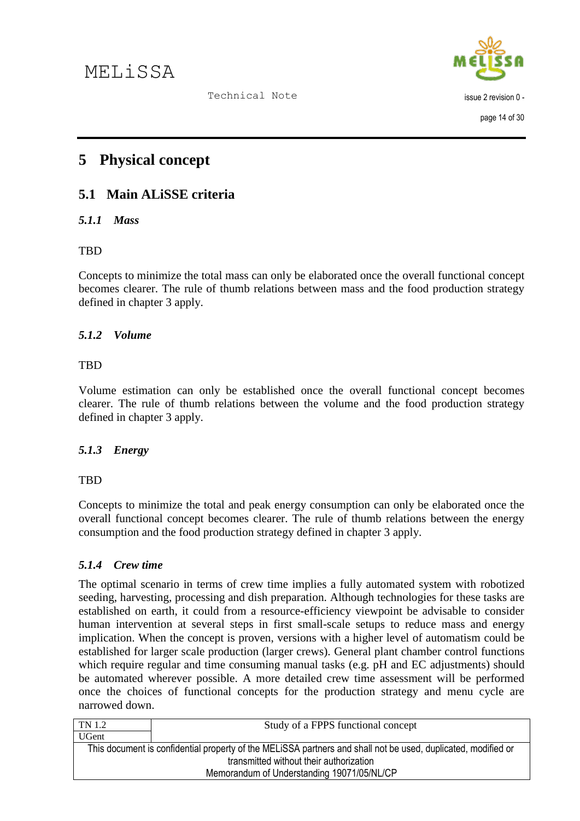

## <span id="page-20-0"></span>**5 Physical concept**

## <span id="page-20-1"></span>**5.1 Main ALiSSE criteria**

#### <span id="page-20-2"></span>*5.1.1 Mass*

#### **TBD**

Concepts to minimize the total mass can only be elaborated once the overall functional concept becomes clearer. The rule of thumb relations between mass and the food production strategy defined in chapter [3](#page-11-0) apply.

#### <span id="page-20-3"></span>*5.1.2 Volume*

#### **TBD**

Volume estimation can only be established once the overall functional concept becomes clearer. The rule of thumb relations between the volume and the food production strategy defined in chapter [3](#page-11-0) apply.

### <span id="page-20-4"></span>*5.1.3 Energy*

### **TBD**

Concepts to minimize the total and peak energy consumption can only be elaborated once the overall functional concept becomes clearer. The rule of thumb relations between the energy consumption and the food production strategy defined in chapter [3](#page-11-0) apply.

### <span id="page-20-5"></span>*5.1.4 Crew time*

The optimal scenario in terms of crew time implies a fully automated system with robotized seeding, harvesting, processing and dish preparation. Although technologies for these tasks are established on earth, it could from a resource-efficiency viewpoint be advisable to consider human intervention at several steps in first small-scale setups to reduce mass and energy implication. When the concept is proven, versions with a higher level of automatism could be established for larger scale production (larger crews). General plant chamber control functions which require regular and time consuming manual tasks (e.g. pH and EC adjustments) should be automated wherever possible. A more detailed crew time assessment will be performed once the choices of functional concepts for the production strategy and menu cycle are narrowed down.

| TN 1.2                                                                                                        | Study of a FPPS functional concept |  |
|---------------------------------------------------------------------------------------------------------------|------------------------------------|--|
| <b>UGent</b>                                                                                                  |                                    |  |
| This document is confidential property of the MELISSA partners and shall not be used, duplicated, modified or |                                    |  |
| transmitted without their authorization                                                                       |                                    |  |
| Memorandum of Understanding 19071/05/NL/CP                                                                    |                                    |  |
|                                                                                                               |                                    |  |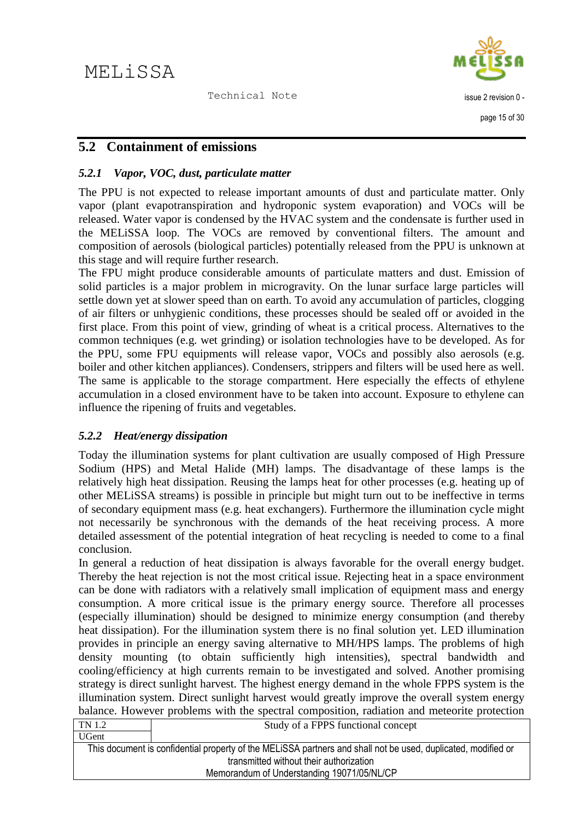

## <span id="page-21-0"></span>**5.2 Containment of emissions**

#### <span id="page-21-1"></span>*5.2.1 Vapor, VOC, dust, particulate matter*

The PPU is not expected to release important amounts of dust and particulate matter. Only vapor (plant evapotranspiration and hydroponic system evaporation) and VOCs will be released. Water vapor is condensed by the HVAC system and the condensate is further used in the MELiSSA loop. The VOCs are removed by conventional filters. The amount and composition of aerosols (biological particles) potentially released from the PPU is unknown at this stage and will require further research.

The FPU might produce considerable amounts of particulate matters and dust. Emission of solid particles is a major problem in microgravity. On the lunar surface large particles will settle down yet at slower speed than on earth. To avoid any accumulation of particles, clogging of air filters or unhygienic conditions, these processes should be sealed off or avoided in the first place. From this point of view, grinding of wheat is a critical process. Alternatives to the common techniques (e.g. wet grinding) or isolation technologies have to be developed. As for the PPU, some FPU equipments will release vapor, VOCs and possibly also aerosols (e.g. boiler and other kitchen appliances). Condensers, strippers and filters will be used here as well. The same is applicable to the storage compartment. Here especially the effects of ethylene accumulation in a closed environment have to be taken into account. Exposure to ethylene can influence the ripening of fruits and vegetables.

#### <span id="page-21-2"></span>*5.2.2 Heat/energy dissipation*

Today the illumination systems for plant cultivation are usually composed of High Pressure Sodium (HPS) and Metal Halide (MH) lamps. The disadvantage of these lamps is the relatively high heat dissipation. Reusing the lamps heat for other processes (e.g. heating up of other MELiSSA streams) is possible in principle but might turn out to be ineffective in terms of secondary equipment mass (e.g. heat exchangers). Furthermore the illumination cycle might not necessarily be synchronous with the demands of the heat receiving process. A more detailed assessment of the potential integration of heat recycling is needed to come to a final conclusion.

TN 1.2 Study of a FPPS functional concept In general a reduction of heat dissipation is always favorable for the overall energy budget. Thereby the heat rejection is not the most critical issue. Rejecting heat in a space environment can be done with radiators with a relatively small implication of equipment mass and energy consumption. A more critical issue is the primary energy source. Therefore all processes (especially illumination) should be designed to minimize energy consumption (and thereby heat dissipation). For the illumination system there is no final solution yet. LED illumination provides in principle an energy saving alternative to MH/HPS lamps. The problems of high density mounting (to obtain sufficiently high intensities), spectral bandwidth and cooling/efficiency at high currents remain to be investigated and solved. Another promising strategy is direct sunlight harvest. The highest energy demand in the whole FPPS system is the illumination system. Direct sunlight harvest would greatly improve the overall system energy balance. However problems with the spectral composition, radiation and meteorite protection

|                                                                                                               | $_{\rm{D}\alpha\alpha\gamma}$ or $\alpha$ is the range of $\alpha$ concept |
|---------------------------------------------------------------------------------------------------------------|----------------------------------------------------------------------------|
| <b>UGent</b>                                                                                                  |                                                                            |
| This document is confidential property of the MELISSA partners and shall not be used, duplicated, modified or |                                                                            |
| transmitted without their authorization                                                                       |                                                                            |
| Memorandum of Understanding 19071/05/NL/CP                                                                    |                                                                            |
|                                                                                                               |                                                                            |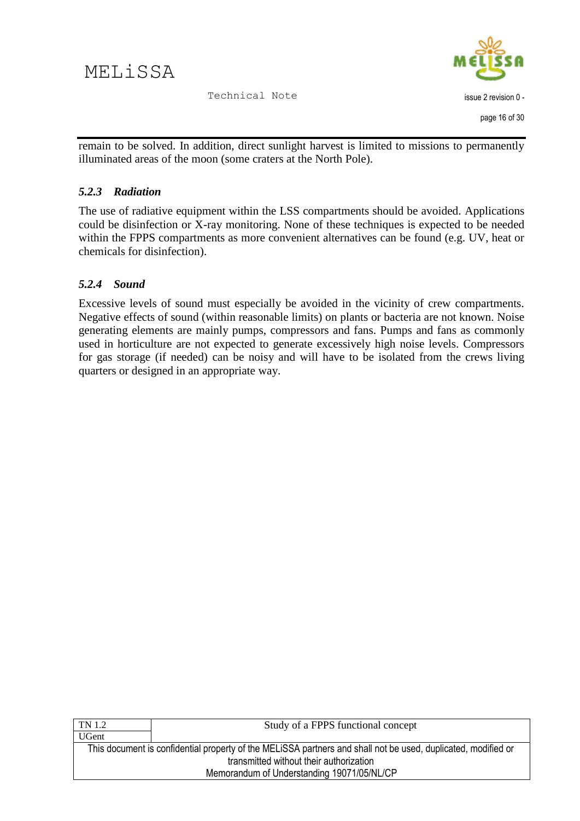



remain to be solved. In addition, direct sunlight harvest is limited to missions to permanently illuminated areas of the moon (some craters at the North Pole).

#### <span id="page-22-0"></span>*5.2.3 Radiation*

The use of radiative equipment within the LSS compartments should be avoided. Applications could be disinfection or X-ray monitoring. None of these techniques is expected to be needed within the FPPS compartments as more convenient alternatives can be found (e.g. UV, heat or chemicals for disinfection).

#### <span id="page-22-1"></span>*5.2.4 Sound*

Excessive levels of sound must especially be avoided in the vicinity of crew compartments. Negative effects of sound (within reasonable limits) on plants or bacteria are not known. Noise generating elements are mainly pumps, compressors and fans. Pumps and fans as commonly used in horticulture are not expected to generate excessively high noise levels. Compressors for gas storage (if needed) can be noisy and will have to be isolated from the crews living quarters or designed in an appropriate way.

| TN 1.2                                                                                                        | Study of a FPPS functional concept |
|---------------------------------------------------------------------------------------------------------------|------------------------------------|
| <b>UGent</b>                                                                                                  |                                    |
| This document is confidential property of the MELISSA partners and shall not be used, duplicated, modified or |                                    |
| transmitted without their authorization                                                                       |                                    |
| Memorandum of Understanding 19071/05/NL/CP                                                                    |                                    |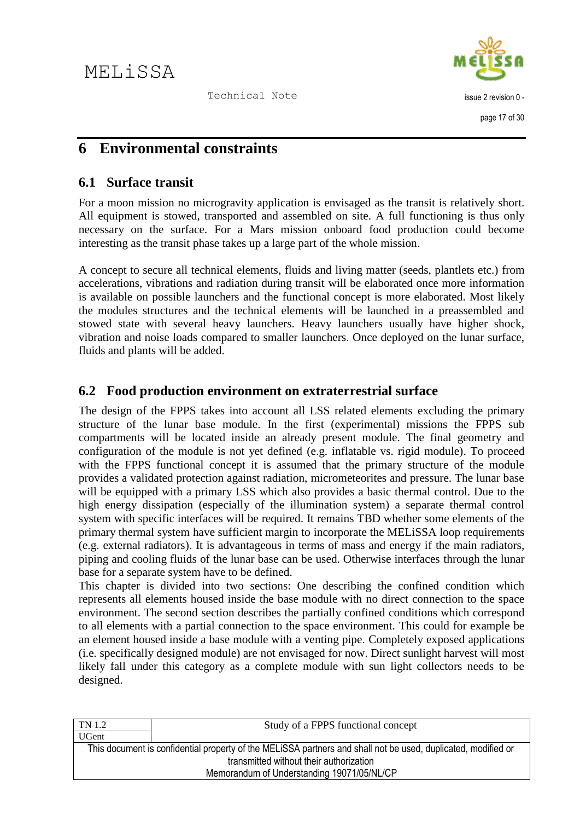

# <span id="page-23-0"></span>**6 Environmental constraints**

## <span id="page-23-1"></span>**6.1 Surface transit**

For a moon mission no microgravity application is envisaged as the transit is relatively short. All equipment is stowed, transported and assembled on site. A full functioning is thus only necessary on the surface. For a Mars mission onboard food production could become interesting as the transit phase takes up a large part of the whole mission.

A concept to secure all technical elements, fluids and living matter (seeds, plantlets etc.) from accelerations, vibrations and radiation during transit will be elaborated once more information is available on possible launchers and the functional concept is more elaborated. Most likely the modules structures and the technical elements will be launched in a preassembled and stowed state with several heavy launchers. Heavy launchers usually have higher shock, vibration and noise loads compared to smaller launchers. Once deployed on the lunar surface, fluids and plants will be added.

## <span id="page-23-2"></span>**6.2 Food production environment on extraterrestrial surface**

The design of the FPPS takes into account all LSS related elements excluding the primary structure of the lunar base module. In the first (experimental) missions the FPPS sub compartments will be located inside an already present module. The final geometry and configuration of the module is not yet defined (e.g. inflatable vs. rigid module). To proceed with the FPPS functional concept it is assumed that the primary structure of the module provides a validated protection against radiation, micrometeorites and pressure. The lunar base will be equipped with a primary LSS which also provides a basic thermal control. Due to the high energy dissipation (especially of the illumination system) a separate thermal control system with specific interfaces will be required. It remains TBD whether some elements of the primary thermal system have sufficient margin to incorporate the MELiSSA loop requirements (e.g. external radiators). It is advantageous in terms of mass and energy if the main radiators, piping and cooling fluids of the lunar base can be used. Otherwise interfaces through the lunar base for a separate system have to be defined.

This chapter is divided into two sections: One describing the confined condition which represents all elements housed inside the base module with no direct connection to the space environment. The second section describes the partially confined conditions which correspond to all elements with a partial connection to the space environment. This could for example be an element housed inside a base module with a venting pipe. Completely exposed applications (i.e. specifically designed module) are not envisaged for now. Direct sunlight harvest will most likely fall under this category as a complete module with sun light collectors needs to be designed.

| TN 1.2                                     | Study of a FPPS functional concept                                                                            |
|--------------------------------------------|---------------------------------------------------------------------------------------------------------------|
| UGent                                      |                                                                                                               |
|                                            | This document is confidential property of the MELISSA partners and shall not be used, duplicated, modified or |
| transmitted without their authorization    |                                                                                                               |
| Memorandum of Understanding 19071/05/NL/CP |                                                                                                               |
|                                            |                                                                                                               |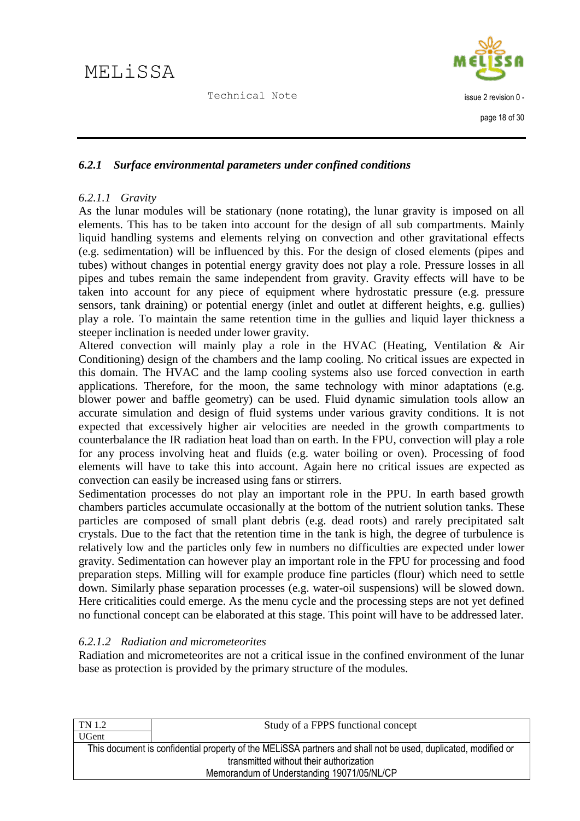

#### <span id="page-24-0"></span>*6.2.1 Surface environmental parameters under confined conditions*

#### <span id="page-24-1"></span>*6.2.1.1 Gravity*

As the lunar modules will be stationary (none rotating), the lunar gravity is imposed on all elements. This has to be taken into account for the design of all sub compartments. Mainly liquid handling systems and elements relying on convection and other gravitational effects (e.g. sedimentation) will be influenced by this. For the design of closed elements (pipes and tubes) without changes in potential energy gravity does not play a role. Pressure losses in all pipes and tubes remain the same independent from gravity. Gravity effects will have to be taken into account for any piece of equipment where hydrostatic pressure (e.g. pressure sensors, tank draining) or potential energy (inlet and outlet at different heights, e.g. gullies) play a role. To maintain the same retention time in the gullies and liquid layer thickness a steeper inclination is needed under lower gravity.

Altered convection will mainly play a role in the HVAC (Heating, Ventilation & Air Conditioning) design of the chambers and the lamp cooling. No critical issues are expected in this domain. The HVAC and the lamp cooling systems also use forced convection in earth applications. Therefore, for the moon, the same technology with minor adaptations (e.g. blower power and baffle geometry) can be used. Fluid dynamic simulation tools allow an accurate simulation and design of fluid systems under various gravity conditions. It is not expected that excessively higher air velocities are needed in the growth compartments to counterbalance the IR radiation heat load than on earth. In the FPU, convection will play a role for any process involving heat and fluids (e.g. water boiling or oven). Processing of food elements will have to take this into account. Again here no critical issues are expected as convection can easily be increased using fans or stirrers.

Sedimentation processes do not play an important role in the PPU. In earth based growth chambers particles accumulate occasionally at the bottom of the nutrient solution tanks. These particles are composed of small plant debris (e.g. dead roots) and rarely precipitated salt crystals. Due to the fact that the retention time in the tank is high, the degree of turbulence is relatively low and the particles only few in numbers no difficulties are expected under lower gravity. Sedimentation can however play an important role in the FPU for processing and food preparation steps. Milling will for example produce fine particles (flour) which need to settle down. Similarly phase separation processes (e.g. water-oil suspensions) will be slowed down. Here criticalities could emerge. As the menu cycle and the processing steps are not yet defined no functional concept can be elaborated at this stage. This point will have to be addressed later.

#### <span id="page-24-2"></span>*6.2.1.2 Radiation and micrometeorites*

Radiation and micrometeorites are not a critical issue in the confined environment of the lunar base as protection is provided by the primary structure of the modules.

| TN 1.2                                                                                                        | Study of a FPPS functional concept |
|---------------------------------------------------------------------------------------------------------------|------------------------------------|
| UGent                                                                                                         |                                    |
| This document is confidential property of the MELISSA partners and shall not be used, duplicated, modified or |                                    |
| transmitted without their authorization                                                                       |                                    |
| Memorandum of Understanding 19071/05/NL/CP                                                                    |                                    |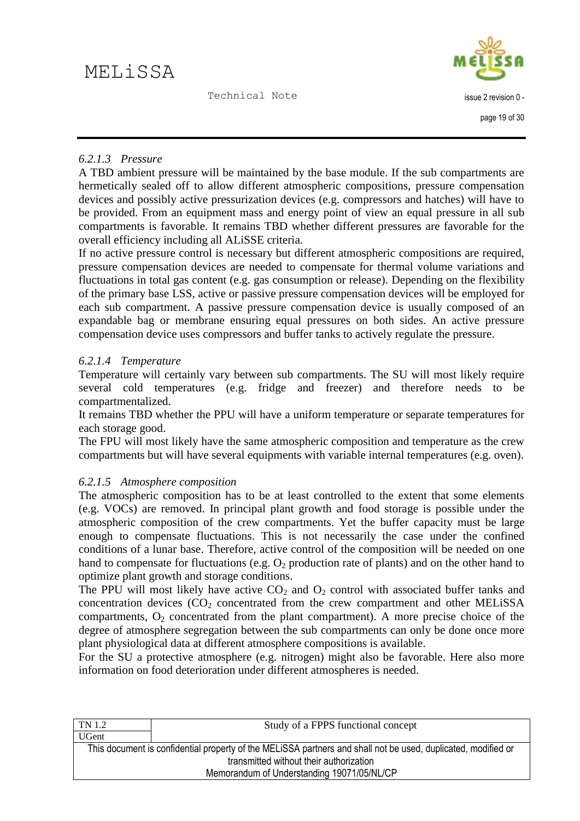

#### <span id="page-25-0"></span>*6.2.1.3 Pressure*

A TBD ambient pressure will be maintained by the base module. If the sub compartments are hermetically sealed off to allow different atmospheric compositions, pressure compensation devices and possibly active pressurization devices (e.g. compressors and hatches) will have to be provided. From an equipment mass and energy point of view an equal pressure in all sub compartments is favorable. It remains TBD whether different pressures are favorable for the overall efficiency including all ALiSSE criteria.

If no active pressure control is necessary but different atmospheric compositions are required, pressure compensation devices are needed to compensate for thermal volume variations and fluctuations in total gas content (e.g. gas consumption or release). Depending on the flexibility of the primary base LSS, active or passive pressure compensation devices will be employed for each sub compartment. A passive pressure compensation device is usually composed of an expandable bag or membrane ensuring equal pressures on both sides. An active pressure compensation device uses compressors and buffer tanks to actively regulate the pressure.

#### <span id="page-25-1"></span>*6.2.1.4 Temperature*

Temperature will certainly vary between sub compartments. The SU will most likely require several cold temperatures (e.g. fridge and freezer) and therefore needs to be compartmentalized.

It remains TBD whether the PPU will have a uniform temperature or separate temperatures for each storage good.

The FPU will most likely have the same atmospheric composition and temperature as the crew compartments but will have several equipments with variable internal temperatures (e.g. oven).

#### <span id="page-25-2"></span>*6.2.1.5 Atmosphere composition*

The atmospheric composition has to be at least controlled to the extent that some elements (e.g. VOCs) are removed. In principal plant growth and food storage is possible under the atmospheric composition of the crew compartments. Yet the buffer capacity must be large enough to compensate fluctuations. This is not necessarily the case under the confined conditions of a lunar base. Therefore, active control of the composition will be needed on one hand to compensate for fluctuations (e.g.  $O_2$  production rate of plants) and on the other hand to optimize plant growth and storage conditions.

The PPU will most likely have active  $CO<sub>2</sub>$  and  $O<sub>2</sub>$  control with associated buffer tanks and concentration devices  $(CO<sub>2</sub>)$  concentrated from the crew compartment and other MELiSSA compartments,  $O_2$  concentrated from the plant compartment). A more precise choice of the degree of atmosphere segregation between the sub compartments can only be done once more plant physiological data at different atmosphere compositions is available.

For the SU a protective atmosphere (e.g. nitrogen) might also be favorable. Here also more information on food deterioration under different atmospheres is needed.

| Study of a FPPS functional concept                                                                            |  |
|---------------------------------------------------------------------------------------------------------------|--|
|                                                                                                               |  |
| This document is confidential property of the MELISSA partners and shall not be used, duplicated, modified or |  |
| transmitted without their authorization                                                                       |  |
| Memorandum of Understanding 19071/05/NL/CP                                                                    |  |
|                                                                                                               |  |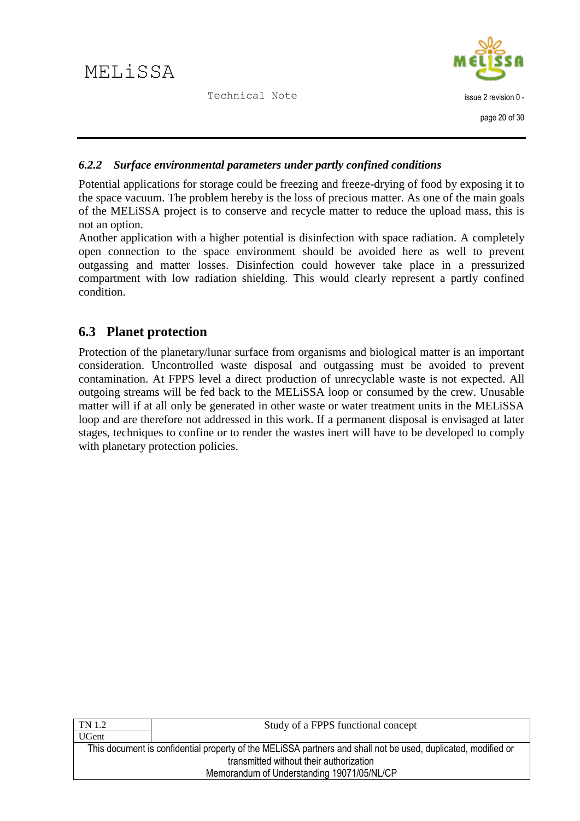

#### <span id="page-26-0"></span>*6.2.2 Surface environmental parameters under partly confined conditions*

Potential applications for storage could be freezing and freeze-drying of food by exposing it to the space vacuum. The problem hereby is the loss of precious matter. As one of the main goals of the MELiSSA project is to conserve and recycle matter to reduce the upload mass, this is not an option.

Another application with a higher potential is disinfection with space radiation. A completely open connection to the space environment should be avoided here as well to prevent outgassing and matter losses. Disinfection could however take place in a pressurized compartment with low radiation shielding. This would clearly represent a partly confined condition.

## <span id="page-26-1"></span>**6.3 Planet protection**

Protection of the planetary/lunar surface from organisms and biological matter is an important consideration. Uncontrolled waste disposal and outgassing must be avoided to prevent contamination. At FPPS level a direct production of unrecyclable waste is not expected. All outgoing streams will be fed back to the MELiSSA loop or consumed by the crew. Unusable matter will if at all only be generated in other waste or water treatment units in the MELiSSA loop and are therefore not addressed in this work. If a permanent disposal is envisaged at later stages, techniques to confine or to render the wastes inert will have to be developed to comply with planetary protection policies.

| Study of a FPPS functional concept                                                                            |  |  |
|---------------------------------------------------------------------------------------------------------------|--|--|
|                                                                                                               |  |  |
| This document is confidential property of the MELISSA partners and shall not be used, duplicated, modified or |  |  |
| transmitted without their authorization                                                                       |  |  |
| Memorandum of Understanding 19071/05/NL/CP                                                                    |  |  |
|                                                                                                               |  |  |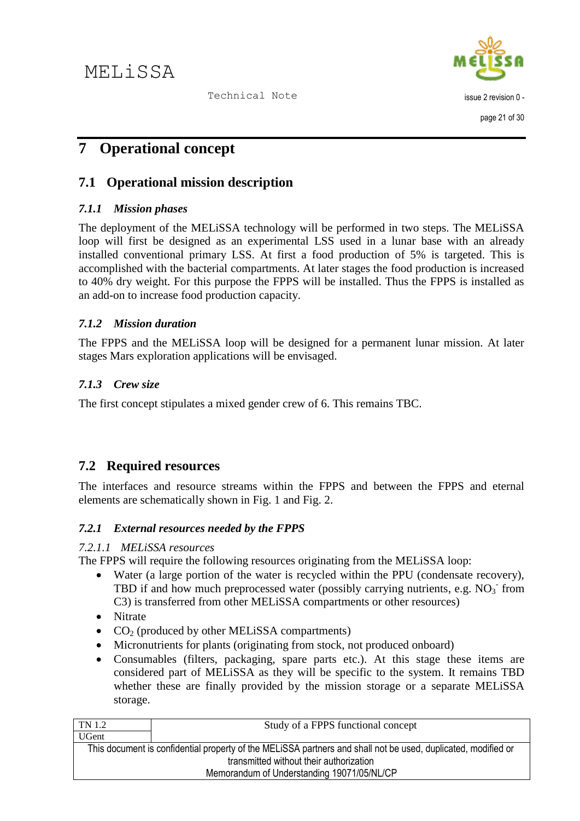

# <span id="page-27-0"></span>**7 Operational concept**

## <span id="page-27-1"></span>**7.1 Operational mission description**

### <span id="page-27-2"></span>*7.1.1 Mission phases*

The deployment of the MELiSSA technology will be performed in two steps. The MELiSSA loop will first be designed as an experimental LSS used in a lunar base with an already installed conventional primary LSS. At first a food production of 5% is targeted. This is accomplished with the bacterial compartments. At later stages the food production is increased to 40% dry weight. For this purpose the FPPS will be installed. Thus the FPPS is installed as an add-on to increase food production capacity.

### <span id="page-27-3"></span>*7.1.2 Mission duration*

The FPPS and the MELiSSA loop will be designed for a permanent lunar mission. At later stages Mars exploration applications will be envisaged.

### <span id="page-27-4"></span>*7.1.3 Crew size*

The first concept stipulates a mixed gender crew of 6. This remains TBC.

## <span id="page-27-5"></span>**7.2 Required resources**

The interfaces and resource streams within the FPPS and between the FPPS and eternal elements are schematically shown in [Fig. 1](#page-7-1) and [Fig. 2.](#page-10-0)

### <span id="page-27-6"></span>*7.2.1 External resources needed by the FPPS*

#### <span id="page-27-7"></span>*7.2.1.1 MELiSSA resources*

The FPPS will require the following resources originating from the MELiSSA loop:

- Water (a large portion of the water is recycled within the PPU (condensate recovery), TBD if and how much preprocessed water (possibly carrying nutrients, e.g.  $NO<sub>3</sub>$  from C3) is transferred from other MELiSSA compartments or other resources)
- Nitrate
- $\bullet$  CO<sub>2</sub> (produced by other MELiSSA compartments)
- Micronutrients for plants (originating from stock, not produced onboard)
- Consumables (filters, packaging, spare parts etc.). At this stage these items are considered part of MELiSSA as they will be specific to the system. It remains TBD whether these are finally provided by the mission storage or a separate MELiSSA storage.

| TN 1.2                                                                                                        | Study of a FPPS functional concept |  |
|---------------------------------------------------------------------------------------------------------------|------------------------------------|--|
| <b>UGent</b>                                                                                                  |                                    |  |
| This document is confidential property of the MELISSA partners and shall not be used, duplicated, modified or |                                    |  |
| transmitted without their authorization                                                                       |                                    |  |
| Memorandum of Understanding 19071/05/NL/CP                                                                    |                                    |  |
|                                                                                                               |                                    |  |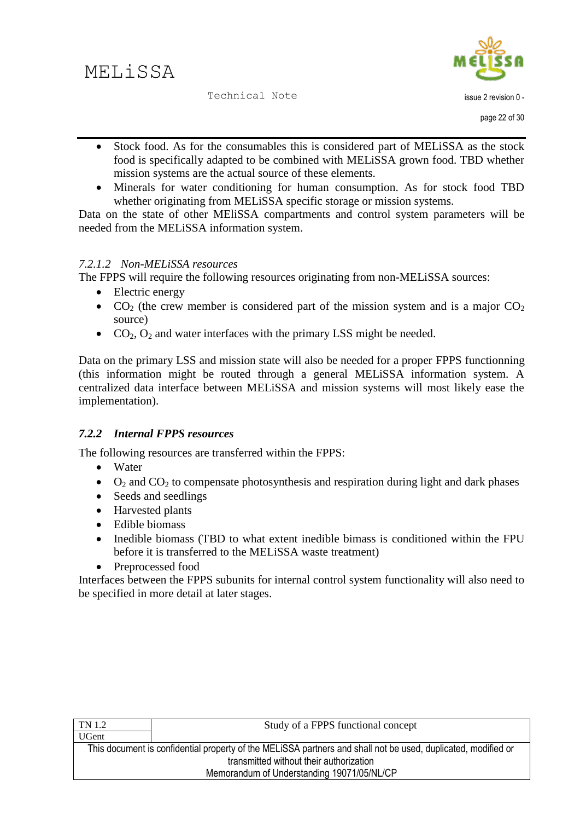

- Stock food. As for the consumables this is considered part of MELiSSA as the stock food is specifically adapted to be combined with MELiSSA grown food. TBD whether mission systems are the actual source of these elements.
- Minerals for water conditioning for human consumption. As for stock food TBD whether originating from MELiSSA specific storage or mission systems.

Data on the state of other MEliSSA compartments and control system parameters will be needed from the MELiSSA information system.

#### <span id="page-28-0"></span>*7.2.1.2 Non-MELiSSA resources*

The FPPS will require the following resources originating from non-MELiSSA sources:

- Electric energy
- $\bullet$  CO<sub>2</sub> (the crew member is considered part of the mission system and is a major CO<sub>2</sub> source)
- $CO<sub>2</sub>, O<sub>2</sub>$  and water interfaces with the primary LSS might be needed.

Data on the primary LSS and mission state will also be needed for a proper FPPS functionning (this information might be routed through a general MELiSSA information system. A centralized data interface between MELiSSA and mission systems will most likely ease the implementation).

#### <span id="page-28-1"></span>*7.2.2 Internal FPPS resources*

The following resources are transferred within the FPPS:

- Water
- $\bullet$  O<sub>2</sub> and CO<sub>2</sub> to compensate photosynthesis and respiration during light and dark phases
- Seeds and seedlings
- Harvested plants
- Edible biomass
- Inedible biomass (TBD to what extent inedible bimass is conditioned within the FPU before it is transferred to the MELiSSA waste treatment)
- Preprocessed food

Interfaces between the FPPS subunits for internal control system functionality will also need to be specified in more detail at later stages.

| UGent                                                                                                         | TN 1.2 |
|---------------------------------------------------------------------------------------------------------------|--------|
|                                                                                                               |        |
| This document is confidential property of the MELISSA partners and shall not be used, duplicated, modified or |        |
| transmitted without their authorization                                                                       |        |
| Memorandum of Understanding 19071/05/NL/CP                                                                    |        |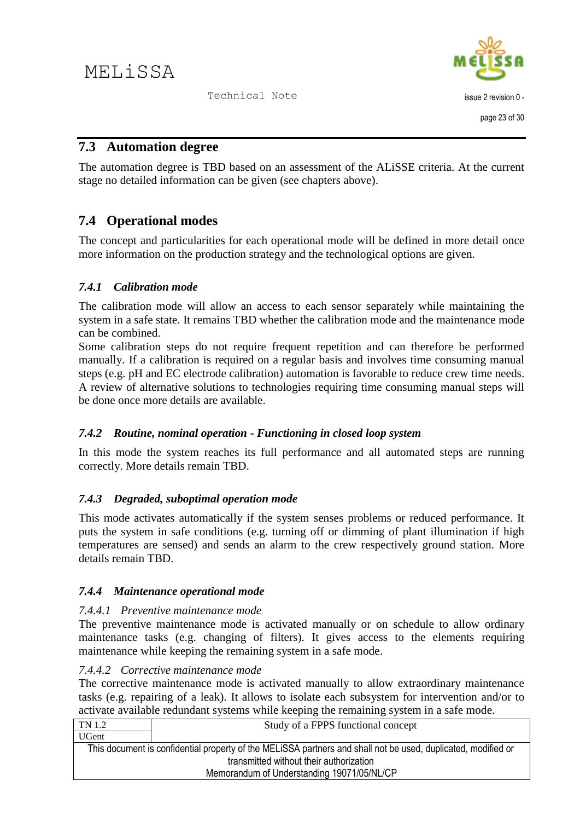

## <span id="page-29-0"></span>**7.3 Automation degree**

The automation degree is TBD based on an assessment of the ALiSSE criteria. At the current stage no detailed information can be given (see chapters above).

## <span id="page-29-1"></span>**7.4 Operational modes**

The concept and particularities for each operational mode will be defined in more detail once more information on the production strategy and the technological options are given.

#### <span id="page-29-2"></span>*7.4.1 Calibration mode*

The calibration mode will allow an access to each sensor separately while maintaining the system in a safe state. It remains TBD whether the calibration mode and the maintenance mode can be combined.

Some calibration steps do not require frequent repetition and can therefore be performed manually. If a calibration is required on a regular basis and involves time consuming manual steps (e.g. pH and EC electrode calibration) automation is favorable to reduce crew time needs. A review of alternative solutions to technologies requiring time consuming manual steps will be done once more details are available.

#### <span id="page-29-3"></span>*7.4.2 Routine, nominal operation - Functioning in closed loop system*

In this mode the system reaches its full performance and all automated steps are running correctly. More details remain TBD.

#### <span id="page-29-4"></span>*7.4.3 Degraded, suboptimal operation mode*

This mode activates automatically if the system senses problems or reduced performance. It puts the system in safe conditions (e.g. turning off or dimming of plant illumination if high temperatures are sensed) and sends an alarm to the crew respectively ground station. More details remain TBD.

#### <span id="page-29-5"></span>*7.4.4 Maintenance operational mode*

#### <span id="page-29-6"></span>*7.4.4.1 Preventive maintenance mode*

The preventive maintenance mode is activated manually or on schedule to allow ordinary maintenance tasks (e.g. changing of filters). It gives access to the elements requiring maintenance while keeping the remaining system in a safe mode.

#### <span id="page-29-7"></span>*7.4.4.2 Corrective maintenance mode*

The corrective maintenance mode is activated manually to allow extraordinary maintenance tasks (e.g. repairing of a leak). It allows to isolate each subsystem for intervention and/or to activate available redundant systems while keeping the remaining system in a safe mode.

| TN 1.2                                                                                                        | Study of a FPPS functional concept |  |
|---------------------------------------------------------------------------------------------------------------|------------------------------------|--|
| <b>UGent</b>                                                                                                  |                                    |  |
| This document is confidential property of the MELISSA partners and shall not be used, duplicated, modified or |                                    |  |
| transmitted without their authorization                                                                       |                                    |  |
| Memorandum of Understanding 19071/05/NL/CP                                                                    |                                    |  |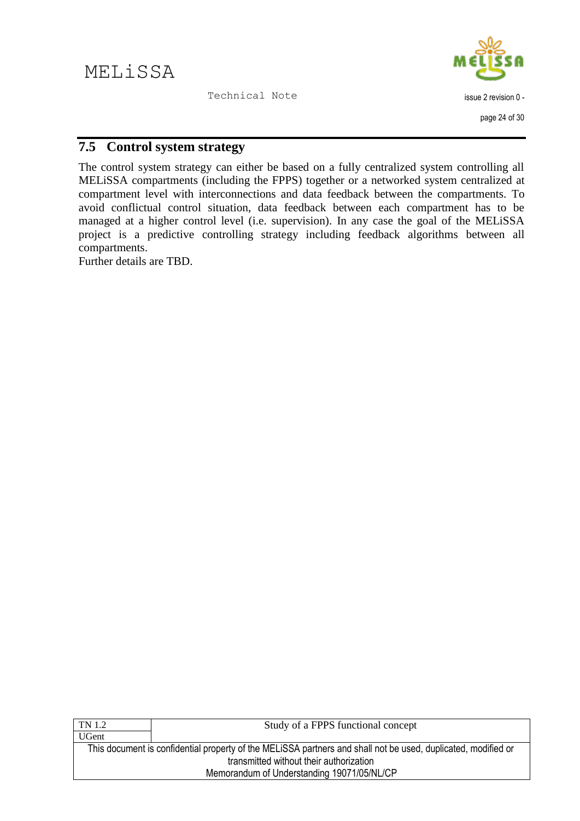

## <span id="page-30-0"></span>**7.5 Control system strategy**

The control system strategy can either be based on a fully centralized system controlling all MELiSSA compartments (including the FPPS) together or a networked system centralized at compartment level with interconnections and data feedback between the compartments. To avoid conflictual control situation, data feedback between each compartment has to be managed at a higher control level (i.e. supervision). In any case the goal of the MELiSSA project is a predictive controlling strategy including feedback algorithms between all compartments.

Further details are TBD.

| TN 1.2                                                                                                        | Study of a FPPS functional concept |
|---------------------------------------------------------------------------------------------------------------|------------------------------------|
| UGent                                                                                                         |                                    |
| This document is confidential property of the MELISSA partners and shall not be used, duplicated, modified or |                                    |
| transmitted without their authorization                                                                       |                                    |
| Memorandum of Understanding 19071/05/NL/CP                                                                    |                                    |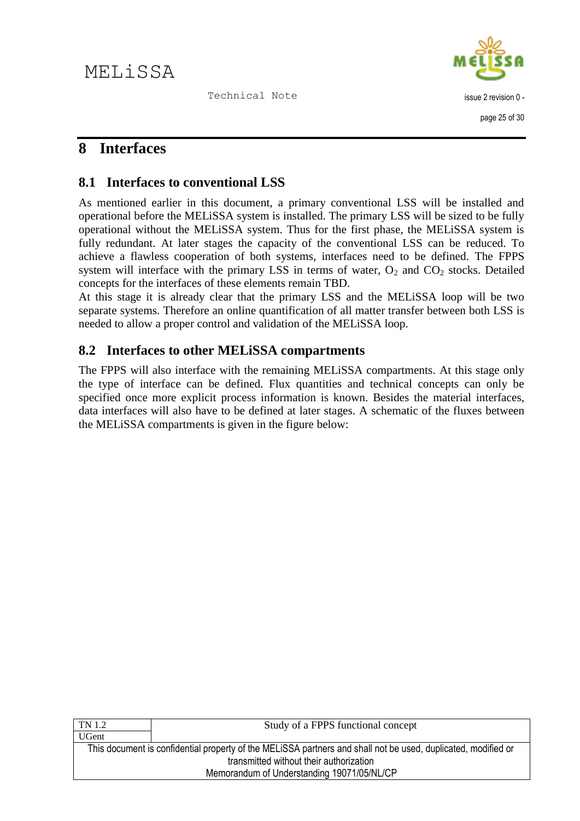

## <span id="page-31-0"></span>**8 Interfaces**

## <span id="page-31-1"></span>**8.1 Interfaces to conventional LSS**

As mentioned earlier in this document, a primary conventional LSS will be installed and operational before the MELiSSA system is installed. The primary LSS will be sized to be fully operational without the MELiSSA system. Thus for the first phase, the MELiSSA system is fully redundant. At later stages the capacity of the conventional LSS can be reduced. To achieve a flawless cooperation of both systems, interfaces need to be defined. The FPPS system will interface with the primary LSS in terms of water,  $O_2$  and  $CO_2$  stocks. Detailed concepts for the interfaces of these elements remain TBD.

At this stage it is already clear that the primary LSS and the MELiSSA loop will be two separate systems. Therefore an online quantification of all matter transfer between both LSS is needed to allow a proper control and validation of the MELiSSA loop.

## <span id="page-31-2"></span>**8.2 Interfaces to other MELiSSA compartments**

The FPPS will also interface with the remaining MELiSSA compartments. At this stage only the type of interface can be defined. Flux quantities and technical concepts can only be specified once more explicit process information is known. Besides the material interfaces, data interfaces will also have to be defined at later stages. A schematic of the fluxes between the MELiSSA compartments is given in the figure below:

| Study of a FPPS functional concept                                                                            |  |
|---------------------------------------------------------------------------------------------------------------|--|
|                                                                                                               |  |
| This document is confidential property of the MELISSA partners and shall not be used, duplicated, modified or |  |
| transmitted without their authorization                                                                       |  |
| Memorandum of Understanding 19071/05/NL/CP                                                                    |  |
|                                                                                                               |  |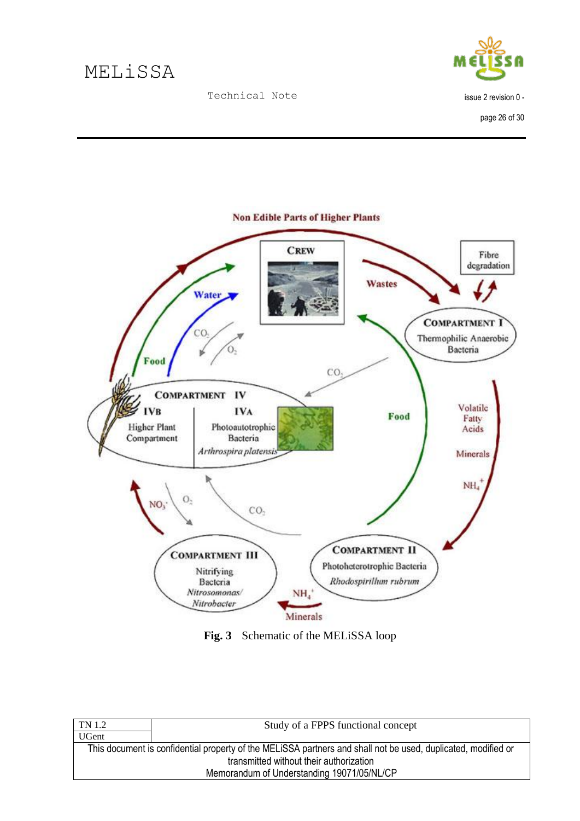MELiSSA



Technical Note



**Fig. 3** Schematic of the MELiSSA loop

<span id="page-32-0"></span>

| Study of a FPPS functional concept                                                                            |  |  |
|---------------------------------------------------------------------------------------------------------------|--|--|
|                                                                                                               |  |  |
| This document is confidential property of the MELISSA partners and shall not be used, duplicated, modified or |  |  |
| transmitted without their authorization                                                                       |  |  |
| Memorandum of Understanding 19071/05/NL/CP                                                                    |  |  |
|                                                                                                               |  |  |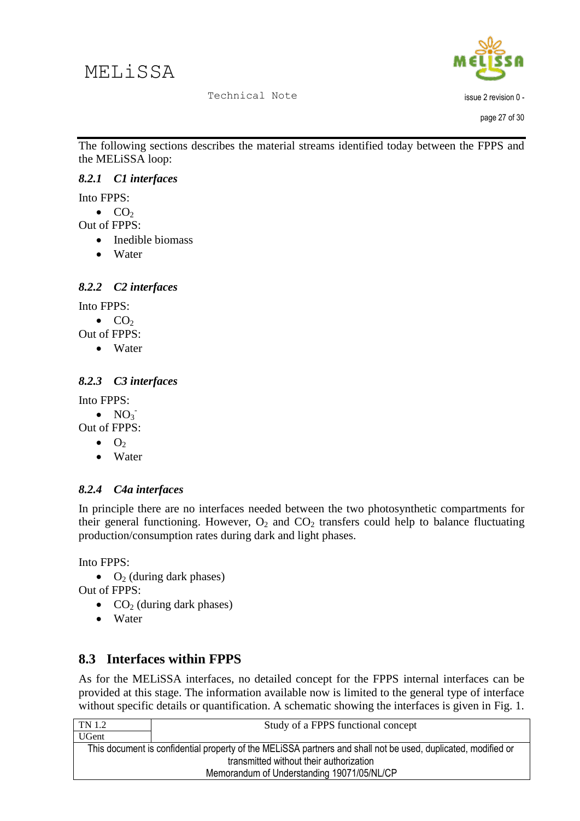MEL<sub>i</sub>SSA



Technical Note

issue 2 revision 0 -

page 27 of 30

The following sections describes the material streams identified today between the FPPS and the MELiSSA loop:

#### <span id="page-33-0"></span>*8.2.1 C1 interfaces*

Into FPPS:

 $\bullet$  CO<sub>2</sub>

Out of FPPS:

- Inedible biomass
- Water

#### <span id="page-33-1"></span>*8.2.2 C2 interfaces*

Into FPPS:

 $\bullet$  CO<sub>2</sub>

Out of FPPS:

• Water

<span id="page-33-2"></span>*8.2.3 C3 interfaces*

Into FPPS:

 $\bullet$  NO<sub>3</sub>

Out of FPPS:

- $\bullet$  O<sub>2</sub>
- Water

## <span id="page-33-3"></span>*8.2.4 C4a interfaces*

In principle there are no interfaces needed between the two photosynthetic compartments for their general functioning. However,  $O_2$  and  $CO_2$  transfers could help to balance fluctuating production/consumption rates during dark and light phases.

Into FPPS:

 $\bullet$  O<sub>2</sub> (during dark phases)

Out of FPPS:

- $\bullet$  CO<sub>2</sub> (during dark phases)
- Water

## <span id="page-33-4"></span>**8.3 Interfaces within FPPS**

As for the MELiSSA interfaces, no detailed concept for the FPPS internal interfaces can be provided at this stage. The information available now is limited to the general type of interface without specific details or quantification. A schematic showing the interfaces is given in [Fig. 1.](#page-7-1)

| TN 1.2                                                                                                                                                   | Study of a FPPS functional concept |  |
|----------------------------------------------------------------------------------------------------------------------------------------------------------|------------------------------------|--|
| <b>UGent</b>                                                                                                                                             |                                    |  |
| This document is confidential property of the MELISSA partners and shall not be used, duplicated, modified or<br>transmitted without their authorization |                                    |  |
| Memorandum of Understanding 19071/05/NL/CP                                                                                                               |                                    |  |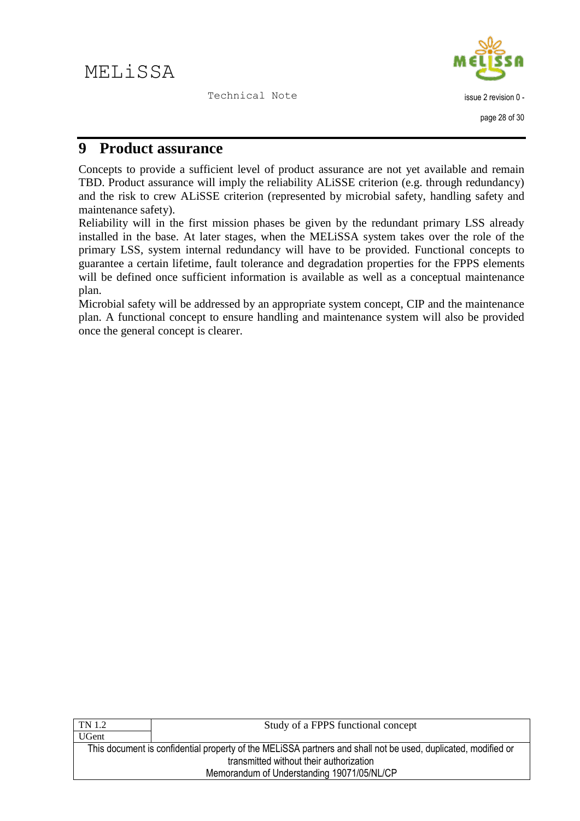

## <span id="page-34-0"></span>**9 Product assurance**

Concepts to provide a sufficient level of product assurance are not yet available and remain TBD. Product assurance will imply the reliability ALiSSE criterion (e.g. through redundancy) and the risk to crew ALiSSE criterion (represented by microbial safety, handling safety and maintenance safety).

Reliability will in the first mission phases be given by the redundant primary LSS already installed in the base. At later stages, when the MELiSSA system takes over the role of the primary LSS, system internal redundancy will have to be provided. Functional concepts to guarantee a certain lifetime, fault tolerance and degradation properties for the FPPS elements will be defined once sufficient information is available as well as a conceptual maintenance plan.

Microbial safety will be addressed by an appropriate system concept, CIP and the maintenance plan. A functional concept to ensure handling and maintenance system will also be provided once the general concept is clearer.

| Study of a FPPS functional concept                                                                            |  |  |
|---------------------------------------------------------------------------------------------------------------|--|--|
|                                                                                                               |  |  |
| This document is confidential property of the MELISSA partners and shall not be used, duplicated, modified or |  |  |
| transmitted without their authorization                                                                       |  |  |
| Memorandum of Understanding 19071/05/NL/CP                                                                    |  |  |
|                                                                                                               |  |  |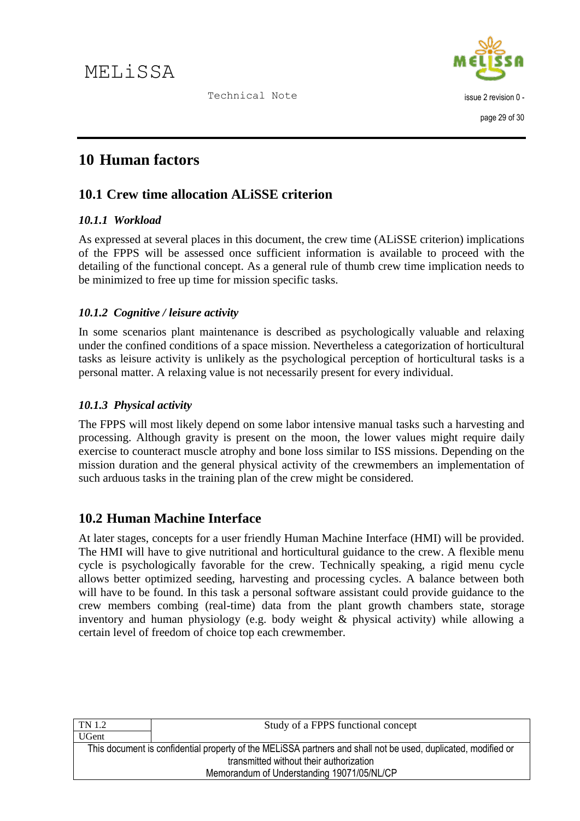

## <span id="page-35-0"></span>**10 Human factors**

## <span id="page-35-1"></span>**10.1 Crew time allocation ALiSSE criterion**

#### <span id="page-35-2"></span>*10.1.1 Workload*

As expressed at several places in this document, the crew time (ALiSSE criterion) implications of the FPPS will be assessed once sufficient information is available to proceed with the detailing of the functional concept. As a general rule of thumb crew time implication needs to be minimized to free up time for mission specific tasks.

#### <span id="page-35-3"></span>*10.1.2 Cognitive / leisure activity*

In some scenarios plant maintenance is described as psychologically valuable and relaxing under the confined conditions of a space mission. Nevertheless a categorization of horticultural tasks as leisure activity is unlikely as the psychological perception of horticultural tasks is a personal matter. A relaxing value is not necessarily present for every individual.

#### <span id="page-35-4"></span>*10.1.3 Physical activity*

The FPPS will most likely depend on some labor intensive manual tasks such a harvesting and processing. Although gravity is present on the moon, the lower values might require daily exercise to counteract muscle atrophy and bone loss similar to ISS missions. Depending on the mission duration and the general physical activity of the crewmembers an implementation of such arduous tasks in the training plan of the crew might be considered.

## <span id="page-35-5"></span>**10.2 Human Machine Interface**

At later stages, concepts for a user friendly Human Machine Interface (HMI) will be provided. The HMI will have to give nutritional and horticultural guidance to the crew. A flexible menu cycle is psychologically favorable for the crew. Technically speaking, a rigid menu cycle allows better optimized seeding, harvesting and processing cycles. A balance between both will have to be found. In this task a personal software assistant could provide guidance to the crew members combing (real-time) data from the plant growth chambers state, storage inventory and human physiology (e.g. body weight & physical activity) while allowing a certain level of freedom of choice top each crewmember.

| Study of a FPPS functional concept                                                                            |  |  |
|---------------------------------------------------------------------------------------------------------------|--|--|
|                                                                                                               |  |  |
| This document is confidential property of the MELISSA partners and shall not be used, duplicated, modified or |  |  |
| transmitted without their authorization                                                                       |  |  |
| Memorandum of Understanding 19071/05/NL/CP                                                                    |  |  |
|                                                                                                               |  |  |